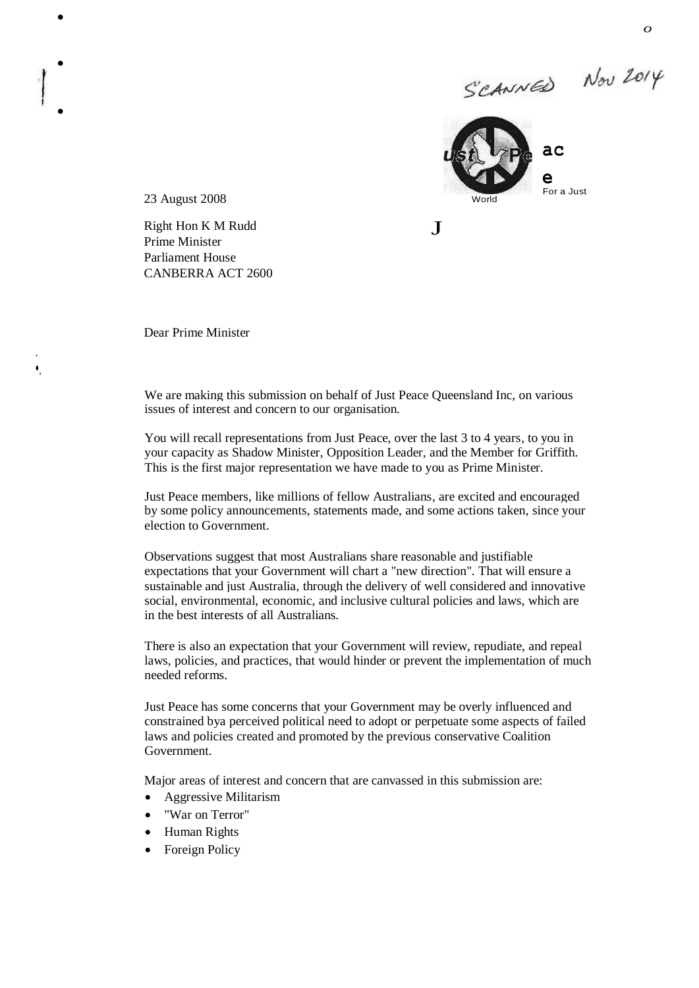SCANNED Nov 2014



 $\mathbf{J}$ 

23 August 2008

 $\bullet$ 

 $\bullet$ 

 $\bullet$ 

' •. Right Hon K M Rudd Prime Minister Parliament House CANBERRA ACT 2600

Dear Prime Minister

We are making this submission on behalf of Just Peace Queensland Inc, on various issues of interest and concern to our organisation.

You will recall representations from Just Peace, over the last 3 to 4 years, to you in your capacity as Shadow Minister, Opposition Leader, and the Member for Griffith. This is the first major representation we have made to you as Prime Minister.

Just Peace members, like millions of fellow Australians, are excited and encouraged by some policy announcements, statements made, and some actions taken, since your election to Government.

Observations suggest that most Australians share reasonable and justifiable expectations that your Government will chart a "new direction". That will ensure a sustainable and just Australia, through the delivery of well considered and innovative social, environmental, economic, and inclusive cultural policies and laws, which are in the best interests of all Australians.

There is also an expectation that your Government will review, repudiate, and repeal laws, policies, and practices, that would hinder or prevent the implementation of much needed reforms.

Just Peace has some concerns that your Government may be overly influenced and constrained bya perceived political need to adopt or perpetuate some aspects of failed laws and policies created and promoted by the previous conservative Coalition Government.

Major areas of interest and concern that are canvassed in this submission are:

- Aggressive Militarism
- "War on Terror"
- Human Rights
- Foreign Policy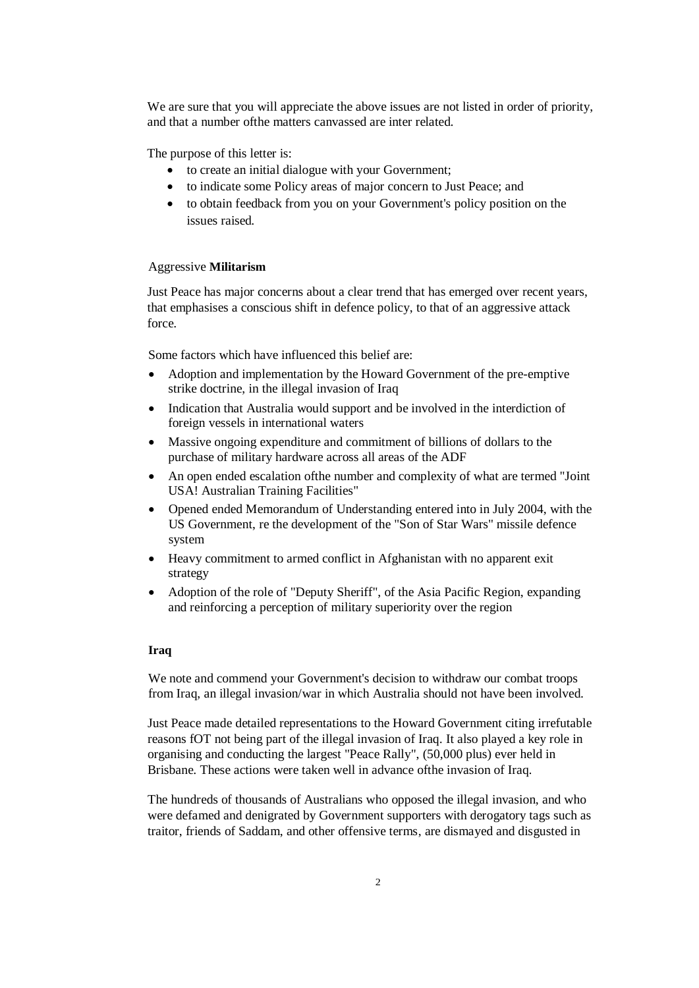We are sure that you will appreciate the above issues are not listed in order of priority, and that a number ofthe matters canvassed are inter related.

The purpose of this letter is:

- to create an initial dialogue with your Government;
- to indicate some Policy areas of major concern to Just Peace; and
- to obtain feedback from you on your Government's policy position on the issues raised.

### Aggressive **Militarism**

Just Peace has major concerns about a clear trend that has emerged over recent years, that emphasises a conscious shift in defence policy, to that of an aggressive attack force.

Some factors which have influenced this belief are:

- Adoption and implementation by the Howard Government of the pre-emptive strike doctrine, in the illegal invasion of Iraq
- Indication that Australia would support and be involved in the interdiction of foreign vessels in international waters
- Massive ongoing expenditure and commitment of billions of dollars to the purchase of military hardware across all areas of the ADF
- An open ended escalation ofthe number and complexity of what are termed "Joint USA! Australian Training Facilities"
- Opened ended Memorandum of Understanding entered into in July 2004, with the US Government, re the development of the "Son of Star Wars" missile defence system
- Heavy commitment to armed conflict in Afghanistan with no apparent exit strategy
- Adoption of the role of "Deputy Sheriff", of the Asia Pacific Region, expanding and reinforcing a perception of military superiority over the region

### **Iraq**

We note and commend your Government's decision to withdraw our combat troops from Iraq, an illegal invasion/war in which Australia should not have been involved.

Just Peace made detailed representations to the Howard Government citing irrefutable reasons fOT not being part of the illegal invasion of Iraq. It also played a key role in organising and conducting the largest "Peace Rally", (50,000 plus) ever held in Brisbane. These actions were taken well in advance ofthe invasion of Iraq.

The hundreds of thousands of Australians who opposed the illegal invasion, and who were defamed and denigrated by Government supporters with derogatory tags such as traitor, friends of Saddam, and other offensive terms, are dismayed and disgusted in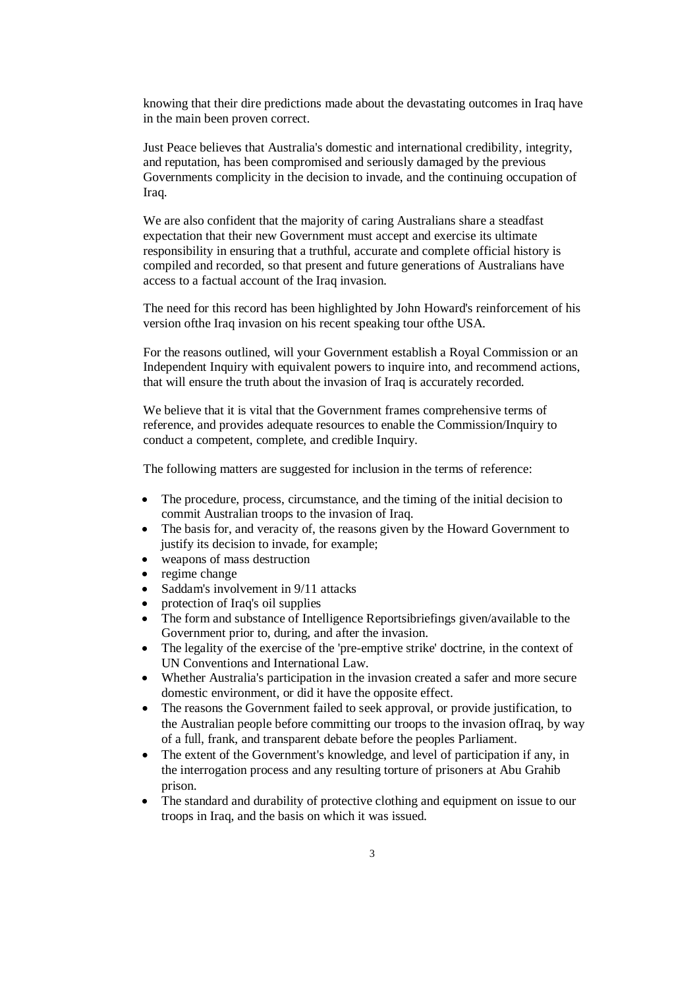knowing that their dire predictions made about the devastating outcomes in Iraq have in the main been proven correct.

Just Peace believes that Australia's domestic and international credibility, integrity, and reputation, has been compromised and seriously damaged by the previous Governments complicity in the decision to invade, and the continuing occupation of Iraq.

We are also confident that the majority of caring Australians share a steadfast expectation that their new Government must accept and exercise its ultimate responsibility in ensuring that a truthful, accurate and complete official history is compiled and recorded, so that present and future generations of Australians have access to a factual account of the Iraq invasion.

The need for this record has been highlighted by John Howard's reinforcement of his version ofthe Iraq invasion on his recent speaking tour ofthe USA.

For the reasons outlined, will your Government establish a Royal Commission or an Independent Inquiry with equivalent powers to inquire into, and recommend actions, that will ensure the truth about the invasion of Iraq is accurately recorded.

We believe that it is vital that the Government frames comprehensive terms of reference, and provides adequate resources to enable the Commission/Inquiry to conduct a competent, complete, and credible Inquiry.

The following matters are suggested for inclusion in the terms of reference:

- The procedure, process, circumstance, and the timing of the initial decision to commit Australian troops to the invasion of Iraq.
- The basis for, and veracity of, the reasons given by the Howard Government to justify its decision to invade, for example;
- weapons of mass destruction
- regime change
- Saddam's involvement in 9/11 attacks
- protection of Iraq's oil supplies
- The form and substance of Intelligence Reportsibriefings given/available to the Government prior to, during, and after the invasion.
- The legality of the exercise of the 'pre-emptive strike' doctrine, in the context of UN Conventions and International Law.
- Whether Australia's participation in the invasion created a safer and more secure domestic environment, or did it have the opposite effect.
- The reasons the Government failed to seek approval, or provide justification, to the Australian people before committing our troops to the invasion ofIraq, by way of a full, frank, and transparent debate before the peoples Parliament.
- The extent of the Government's knowledge, and level of participation if any, in the interrogation process and any resulting torture of prisoners at Abu Grahib prison.
- The standard and durability of protective clothing and equipment on issue to our troops in Iraq, and the basis on which it was issued.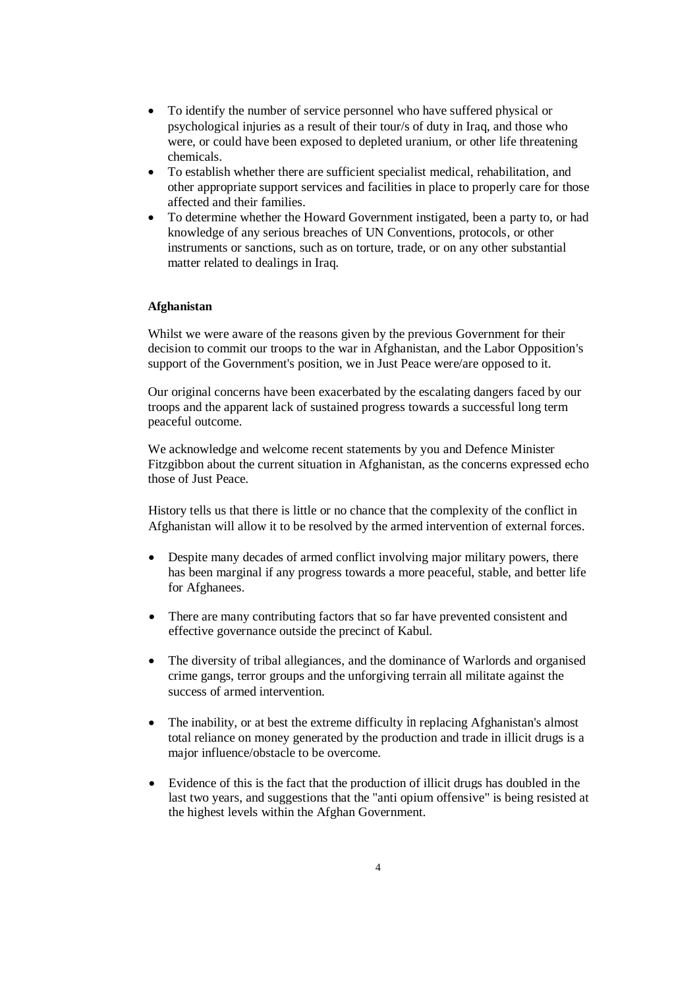- To identify the number of service personnel who have suffered physical or psychological injuries as a result of their tour/s of duty in Iraq, and those who were, or could have been exposed to depleted uranium, or other life threatening chemicals.
- To establish whether there are sufficient specialist medical, rehabilitation, and other appropriate support services and facilities in place to properly care for those affected and their families.
- To determine whether the Howard Government instigated, been a party to, or had knowledge of any serious breaches of UN Conventions, protocols, or other instruments or sanctions, such as on torture, trade, or on any other substantial matter related to dealings in Iraq.

## **Afghanistan**

Whilst we were aware of the reasons given by the previous Government for their decision to commit our troops to the war in Afghanistan, and the Labor Opposition's support of the Government's position, we in Just Peace were/are opposed to it.

Our original concerns have been exacerbated by the escalating dangers faced by our troops and the apparent lack of sustained progress towards a successful long term peaceful outcome.

We acknowledge and welcome recent statements by you and Defence Minister Fitzgibbon about the current situation in Afghanistan, as the concerns expressed echo those of Just Peace.

History tells us that there is little or no chance that the complexity of the conflict in Afghanistan will allow it to be resolved by the armed intervention of external forces.

- Despite many decades of armed conflict involving major military powers, there has been marginal if any progress towards a more peaceful, stable, and better life for Afghanees.
- There are many contributing factors that so far have prevented consistent and effective governance outside the precinct of Kabul.
- The diversity of tribal allegiances, and the dominance of Warlords and organised crime gangs, terror groups and the unforgiving terrain all militate against the success of armed intervention.
- The inability, or at best the extreme difficulty in replacing Afghanistan's almost total reliance on money generated by the production and trade in illicit drugs is a major influence/obstacle to be overcome.
- Evidence of this is the fact that the production of illicit drugs has doubled in the last two years, and suggestions that the "anti opium offensive" is being resisted at the highest levels within the Afghan Government.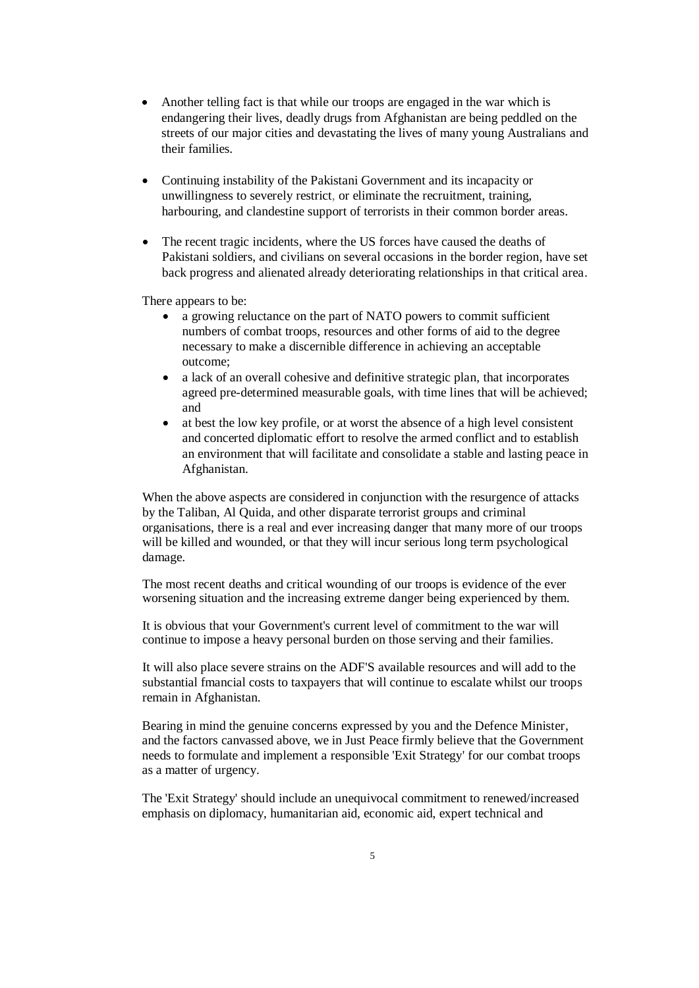- Another telling fact is that while our troops are engaged in the war which is endangering their lives, deadly drugs from Afghanistan are being peddled on the streets of our major cities and devastating the lives of many young Australians and their families.
- Continuing instability of the Pakistani Government and its incapacity or unwillingness to severely restrict, or eliminate the recruitment, training, harbouring, and clandestine support of terrorists in their common border areas.
- The recent tragic incidents, where the US forces have caused the deaths of Pakistani soldiers, and civilians on several occasions in the border region, have set back progress and alienated already deteriorating relationships in that critical area.

There appears to be:

- a growing reluctance on the part of NATO powers to commit sufficient numbers of combat troops, resources and other forms of aid to the degree necessary to make a discernible difference in achieving an acceptable outcome;
- a lack of an overall cohesive and definitive strategic plan, that incorporates agreed pre-determined measurable goals, with time lines that will be achieved; and
- at best the low key profile, or at worst the absence of a high level consistent and concerted diplomatic effort to resolve the armed conflict and to establish an environment that will facilitate and consolidate a stable and lasting peace in Afghanistan.

When the above aspects are considered in conjunction with the resurgence of attacks by the Taliban, Al Quida, and other disparate terrorist groups and criminal organisations, there is a real and ever increasing danger that many more of our troops will be killed and wounded, or that they will incur serious long term psychological damage.

The most recent deaths and critical wounding of our troops is evidence of the ever worsening situation and the increasing extreme danger being experienced by them.

It is obvious that your Government's current level of commitment to the war will continue to impose a heavy personal burden on those serving and their families.

It will also place severe strains on the ADF'S available resources and will add to the substantial fmancial costs to taxpayers that will continue to escalate whilst our troops remain in Afghanistan.

Bearing in mind the genuine concerns expressed by you and the Defence Minister, and the factors canvassed above, we in Just Peace firmly believe that the Government needs to formulate and implement a responsible 'Exit Strategy' for our combat troops as a matter of urgency.

The 'Exit Strategy' should include an unequivocal commitment to renewed/increased emphasis on diplomacy, humanitarian aid, economic aid, expert technical and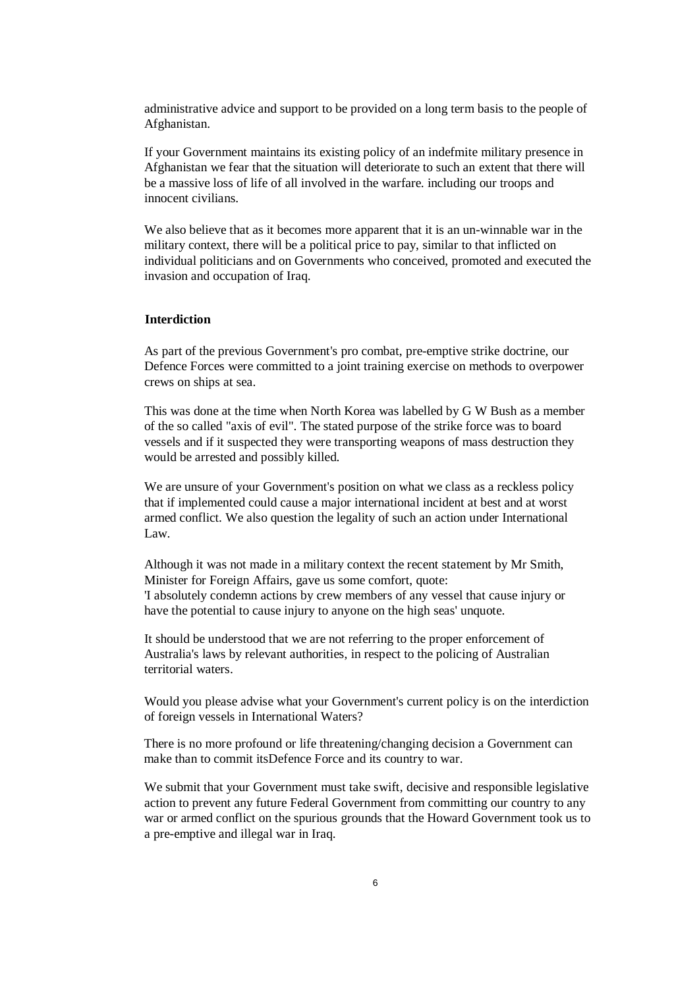administrative advice and support to be provided on a long term basis to the people of Afghanistan.

If your Government maintains its existing policy of an indefmite military presence in Afghanistan we fear that the situation will deteriorate to such an extent that there will be a massive loss of life of all involved in the warfare. including our troops and innocent civilians.

We also believe that as it becomes more apparent that it is an un-winnable war in the military context, there will be a political price to pay, similar to that inflicted on individual politicians and on Governments who conceived, promoted and executed the invasion and occupation of Iraq.

# **Interdiction**

As part of the previous Government's pro combat, pre-emptive strike doctrine, our Defence Forces were committed to a joint training exercise on methods to overpower crews on ships at sea.

This was done at the time when North Korea was labelled by G W Bush as a member of the so called "axis of evil". The stated purpose of the strike force was to board vessels and if it suspected they were transporting weapons of mass destruction they would be arrested and possibly killed.

We are unsure of your Government's position on what we class as a reckless policy that if implemented could cause a major international incident at best and at worst armed conflict. We also question the legality of such an action under International Law.

Although it was not made in a military context the recent statement by Mr Smith, Minister for Foreign Affairs, gave us some comfort, quote: 'I absolutely condemn actions by crew members of any vessel that cause injury or have the potential to cause injury to anyone on the high seas' unquote.

It should be understood that we are not referring to the proper enforcement of Australia's laws by relevant authorities, in respect to the policing of Australian territorial waters.

Would you please advise what your Government's current policy is on the interdiction of foreign vessels in International Waters?

There is no more profound or life threatening/changing decision a Government can make than to commit itsDefence Force and its country to war.

We submit that your Government must take swift, decisive and responsible legislative action to prevent any future Federal Government from committing our country to any war or armed conflict on the spurious grounds that the Howard Government took us to a pre-emptive and illegal war in Iraq.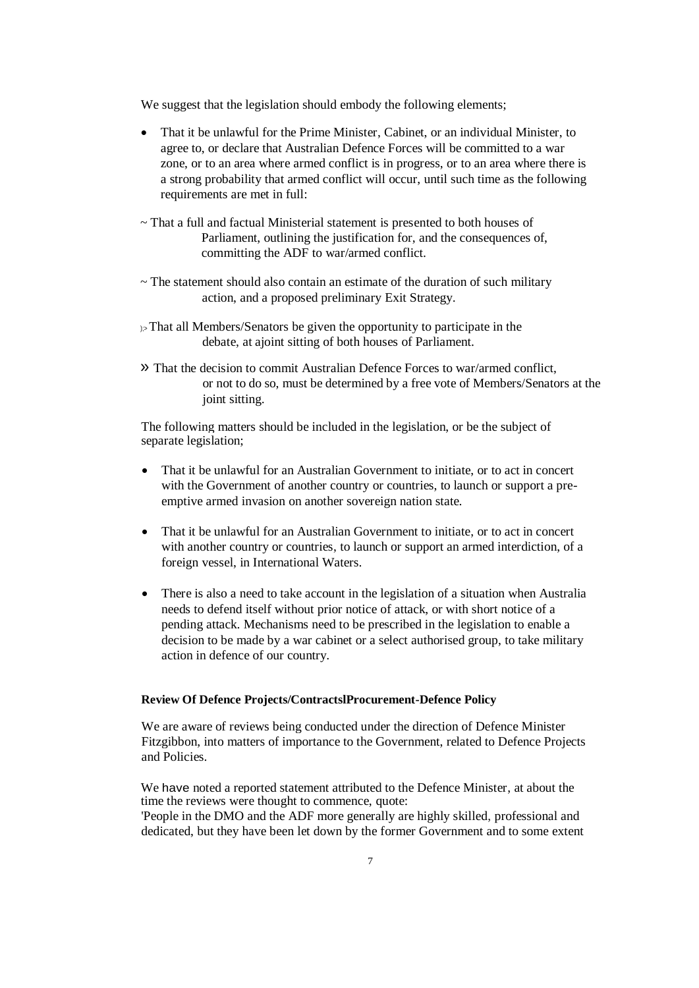We suggest that the legislation should embody the following elements;

- That it be unlawful for the Prime Minister, Cabinet, or an individual Minister, to agree to, or declare that Australian Defence Forces will be committed to a war zone, or to an area where armed conflict is in progress, or to an area where there is a strong probability that armed conflict will occur, until such time as the following requirements are met in full:
- ~ That a full and factual Ministerial statement is presented to both houses of Parliament, outlining the justification for, and the consequences of, committing the ADF to war/armed conflict.
- $\sim$  The statement should also contain an estimate of the duration of such military action, and a proposed preliminary Exit Strategy.
- $\mathbb{R}$  That all Members/Senators be given the opportunity to participate in the debate, at ajoint sitting of both houses of Parliament.
- » That the decision to commit Australian Defence Forces to war/armed conflict, or not to do so, must be determined by a free vote of Members/Senators at the joint sitting.

The following matters should be included in the legislation, or be the subject of separate legislation;

- That it be unlawful for an Australian Government to initiate, or to act in concert with the Government of another country or countries, to launch or support a preemptive armed invasion on another sovereign nation state.
- That it be unlawful for an Australian Government to initiate, or to act in concert with another country or countries, to launch or support an armed interdiction, of a foreign vessel, in International Waters.
- There is also a need to take account in the legislation of a situation when Australia needs to defend itself without prior notice of attack, or with short notice of a pending attack. Mechanisms need to be prescribed in the legislation to enable a decision to be made by a war cabinet or a select authorised group, to take military action in defence of our country.

## **Review Of Defence Projects/ContractslProcurement-Defence Policy**

We are aware of reviews being conducted under the direction of Defence Minister Fitzgibbon, into matters of importance to the Government, related to Defence Projects and Policies.

We have noted a reported statement attributed to the Defence Minister, at about the time the reviews were thought to commence, quote: 'People in the DMO and the ADF more generally are highly skilled, professional and

dedicated, but they have been let down by the former Government and to some extent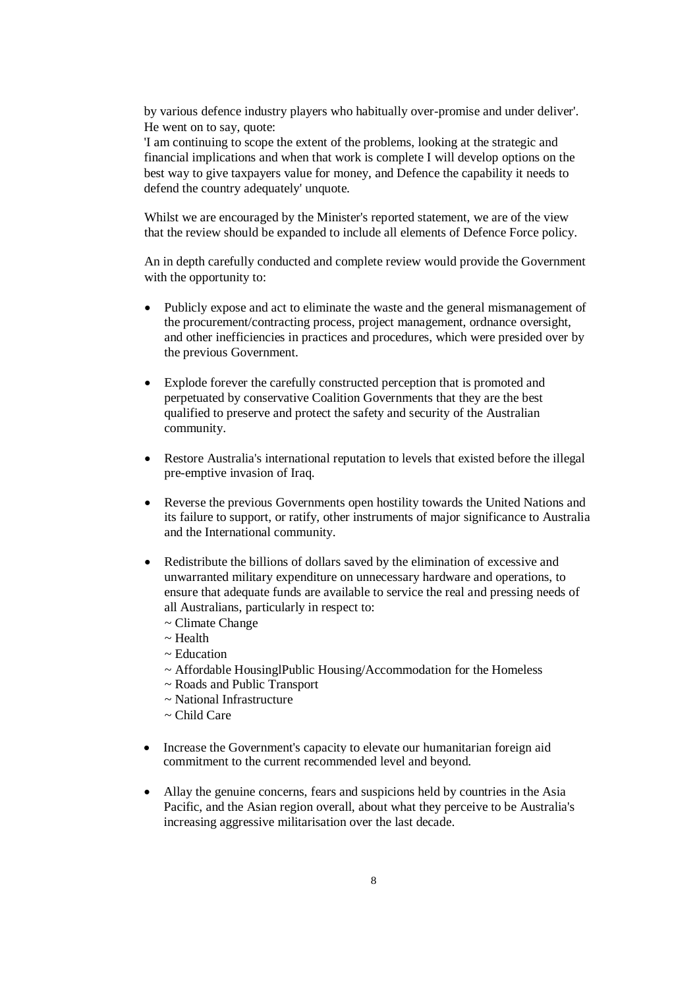by various defence industry players who habitually over-promise and under deliver'. He went on to say, quote:

'I am continuing to scope the extent of the problems, looking at the strategic and financial implications and when that work is complete I will develop options on the best way to give taxpayers value for money, and Defence the capability it needs to defend the country adequately' unquote.

Whilst we are encouraged by the Minister's reported statement, we are of the view that the review should be expanded to include all elements of Defence Force policy.

An in depth carefully conducted and complete review would provide the Government with the opportunity to:

- Publicly expose and act to eliminate the waste and the general mismanagement of the procurement/contracting process, project management, ordnance oversight, and other inefficiencies in practices and procedures, which were presided over by the previous Government.
- Explode forever the carefully constructed perception that is promoted and perpetuated by conservative Coalition Governments that they are the best qualified to preserve and protect the safety and security of the Australian community.
- Restore Australia's international reputation to levels that existed before the illegal pre-emptive invasion of Iraq.
- Reverse the previous Governments open hostility towards the United Nations and its failure to support, or ratify, other instruments of major significance to Australia and the International community.
- Redistribute the billions of dollars saved by the elimination of excessive and unwarranted military expenditure on unnecessary hardware and operations, to ensure that adequate funds are available to service the real and pressing needs of all Australians, particularly in respect to:
	- ~ Climate Change
	- $\sim$  Health
	- ~ Education
	- ~ Affordable HousinglPublic Housing/Accommodation for the Homeless
	- ~ Roads and Public Transport
	- ~ National Infrastructure
	- ~ Child Care
- Increase the Government's capacity to elevate our humanitarian foreign aid commitment to the current recommended level and beyond.
- Allay the genuine concerns, fears and suspicions held by countries in the Asia Pacific, and the Asian region overall, about what they perceive to be Australia's increasing aggressive militarisation over the last decade.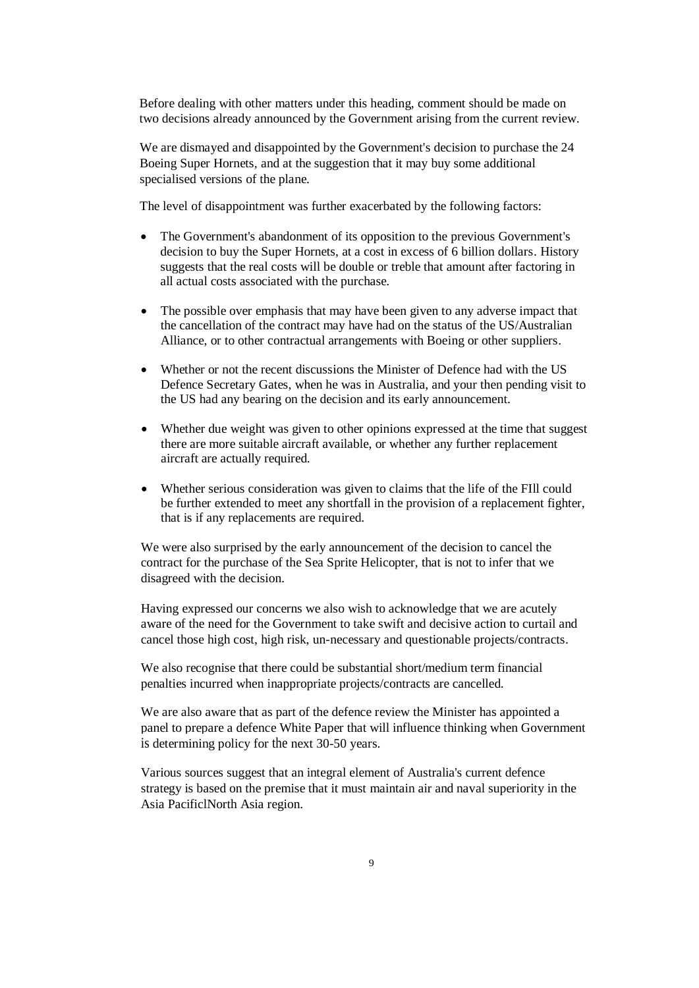Before dealing with other matters under this heading, comment should be made on two decisions already announced by the Government arising from the current review.

We are dismayed and disappointed by the Government's decision to purchase the 24 Boeing Super Hornets, and at the suggestion that it may buy some additional specialised versions of the plane.

The level of disappointment was further exacerbated by the following factors:

- The Government's abandonment of its opposition to the previous Government's decision to buy the Super Hornets, at a cost in excess of 6 billion dollars. History suggests that the real costs will be double or treble that amount after factoring in all actual costs associated with the purchase.
- The possible over emphasis that may have been given to any adverse impact that the cancellation of the contract may have had on the status of the US/Australian Alliance, or to other contractual arrangements with Boeing or other suppliers.
- Whether or not the recent discussions the Minister of Defence had with the US Defence Secretary Gates, when he was in Australia, and your then pending visit to the US had any bearing on the decision and its early announcement.
- Whether due weight was given to other opinions expressed at the time that suggest there are more suitable aircraft available, or whether any further replacement aircraft are actually required.
- Whether serious consideration was given to claims that the life of the FIll could be further extended to meet any shortfall in the provision of a replacement fighter, that is if any replacements are required.

We were also surprised by the early announcement of the decision to cancel the contract for the purchase of the Sea Sprite Helicopter, that is not to infer that we disagreed with the decision.

Having expressed our concerns we also wish to acknowledge that we are acutely aware of the need for the Government to take swift and decisive action to curtail and cancel those high cost, high risk, un-necessary and questionable projects/contracts.

We also recognise that there could be substantial short/medium term financial penalties incurred when inappropriate projects/contracts are cancelled.

We are also aware that as part of the defence review the Minister has appointed a panel to prepare a defence White Paper that will influence thinking when Government is determining policy for the next 30-50 years.

Various sources suggest that an integral element of Australia's current defence strategy is based on the premise that it must maintain air and naval superiority in the Asia PacificlNorth Asia region.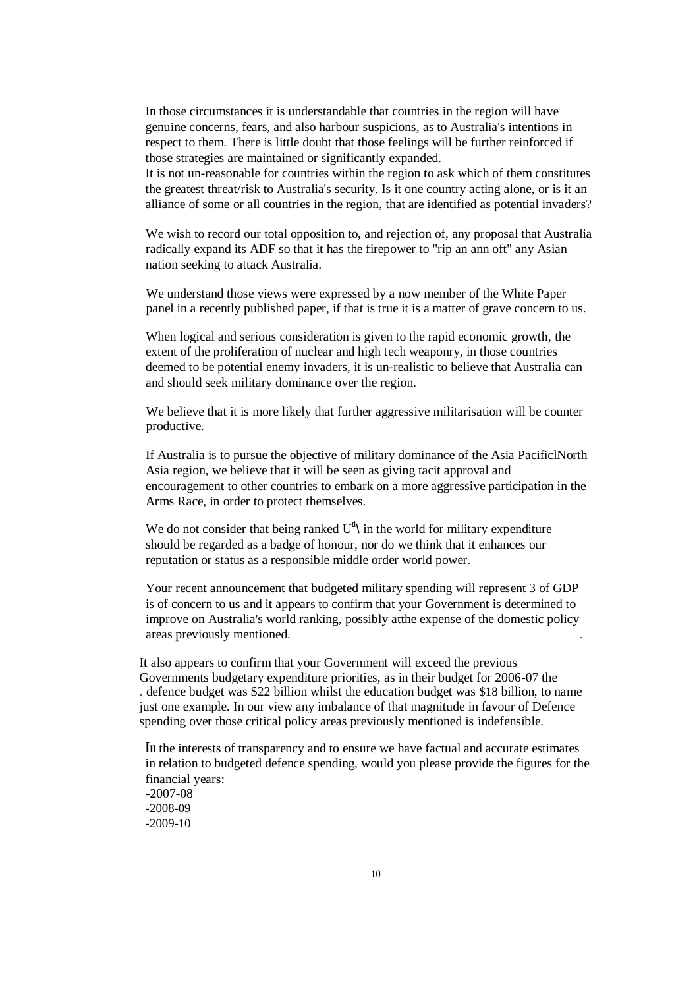In those circumstances it is understandable that countries in the region will have genuine concerns, fears, and also harbour suspicions, as to Australia's intentions in respect to them. There is little doubt that those feelings will be further reinforced if those strategies are maintained or significantly expanded.

It is not un-reasonable for countries within the region to ask which of them constitutes the greatest threat/risk to Australia's security. Is it one country acting alone, or is it an alliance of some or all countries in the region, that are identified as potential invaders?

We wish to record our total opposition to, and rejection of, any proposal that Australia radically expand its ADF so that it has the firepower to "rip an ann oft" any Asian nation seeking to attack Australia.

We understand those views were expressed by a now member of the White Paper panel in a recently published paper, if that is true it is a matter of grave concern to us.

When logical and serious consideration is given to the rapid economic growth, the extent of the proliferation of nuclear and high tech weaponry, in those countries deemed to be potential enemy invaders, it is un-realistic to believe that Australia can and should seek military dominance over the region.

We believe that it is more likely that further aggressive militarisation will be counter productive.

If Australia is to pursue the objective of military dominance of the Asia PacificlNorth Asia region, we believe that it will be seen as giving tacit approval and encouragement to other countries to embark on a more aggressive participation in the Arms Race, in order to protect themselves.

We do not consider that being ranked  $U^{\text{th}}$  in the world for military expenditure should be regarded as a badge of honour, nor do we think that it enhances our reputation or status as a responsible middle order world power.

Your recent announcement that budgeted military spending will represent 3 of GDP is of concern to us and it appears to confirm that your Government is determined to improve on Australia's world ranking, possibly atthe expense of the domestic policy areas previously mentioned. .

It also appears to confirm that your Government will exceed the previous Governments budgetary expenditure priorities, as in their budget for 2006-07 the . defence budget was \$22 billion whilst the education budget was \$18 billion, to name just one example. In our view any imbalance of that magnitude in favour of Defence spending over those critical policy areas previously mentioned is indefensible.

**In** the interests of transparency and to ensure we have factual and accurate estimates in relation to budgeted defence spending, would you please provide the figures for the financial years: -2007-08 -2008-09 -2009-10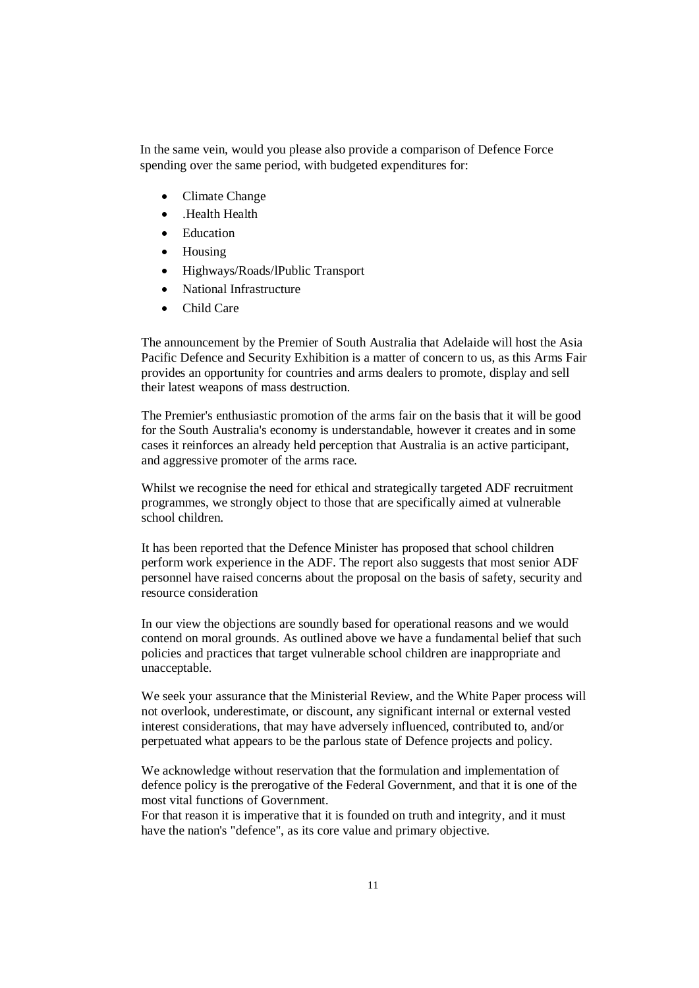In the same vein, would you please also provide a comparison of Defence Force spending over the same period, with budgeted expenditures for:

- Climate Change
- Health Health
- Education
- Housing
- Highways/Roads/lPublic Transport
- National Infrastructure
- Child Care

The announcement by the Premier of South Australia that Adelaide will host the Asia Pacific Defence and Security Exhibition is a matter of concern to us, as this Arms Fair provides an opportunity for countries and arms dealers to promote, display and sell their latest weapons of mass destruction.

The Premier's enthusiastic promotion of the arms fair on the basis that it will be good for the South Australia's economy is understandable, however it creates and in some cases it reinforces an already held perception that Australia is an active participant, and aggressive promoter of the arms race.

Whilst we recognise the need for ethical and strategically targeted ADF recruitment programmes, we strongly object to those that are specifically aimed at vulnerable school children.

It has been reported that the Defence Minister has proposed that school children perform work experience in the ADF. The report also suggests that most senior ADF personnel have raised concerns about the proposal on the basis of safety, security and resource consideration

In our view the objections are soundly based for operational reasons and we would contend on moral grounds. As outlined above we have a fundamental belief that such policies and practices that target vulnerable school children are inappropriate and unacceptable.

We seek your assurance that the Ministerial Review, and the White Paper process will not overlook, underestimate, or discount, any significant internal or external vested interest considerations, that may have adversely influenced, contributed to, and/or perpetuated what appears to be the parlous state of Defence projects and policy.

We acknowledge without reservation that the formulation and implementation of defence policy is the prerogative of the Federal Government, and that it is one of the most vital functions of Government.

For that reason it is imperative that it is founded on truth and integrity, and it must have the nation's "defence", as its core value and primary objective.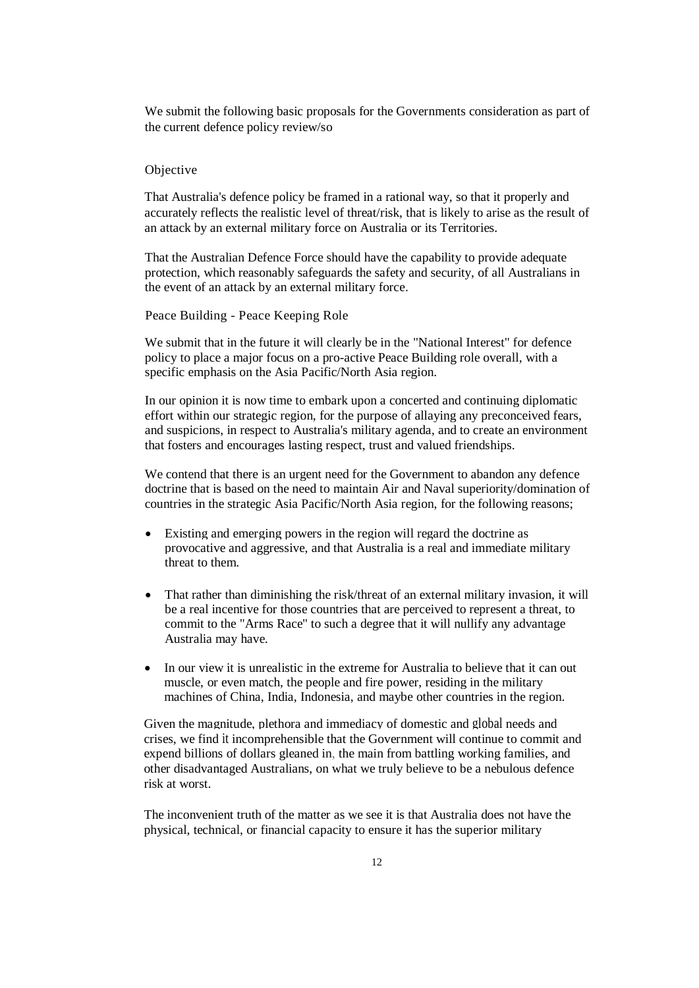We submit the following basic proposals for the Governments consideration as part of the current defence policy review/so

### Objective

That Australia's defence policy be framed in a rational way, so that it properly and accurately reflects the realistic level of threat/risk, that is likely to arise as the result of an attack by an external military force on Australia or its Territories.

That the Australian Defence Force should have the capability to provide adequate protection, which reasonably safeguards the safety and security, of all Australians in the event of an attack by an external military force.

Peace Building - Peace Keeping Role

We submit that in the future it will clearly be in the "National Interest" for defence policy to place a major focus on a pro-active Peace Building role overall, with a specific emphasis on the Asia Pacific/North Asia region.

In our opinion it is now time to embark upon a concerted and continuing diplomatic effort within our strategic region, for the purpose of allaying any preconceived fears, and suspicions, in respect to Australia's military agenda, and to create an environment that fosters and encourages lasting respect, trust and valued friendships.

We contend that there is an urgent need for the Government to abandon any defence doctrine that is based on the need to maintain Air and Naval superiority/domination of countries in the strategic Asia Pacific/North Asia region, for the following reasons;

- Existing and emerging powers in the region will regard the doctrine as provocative and aggressive, and that Australia is a real and immediate military threat to them.
- That rather than diminishing the risk/threat of an external military invasion, it will be a real incentive for those countries that are perceived to represent a threat, to commit to the "Arms Race" to such a degree that it will nullify any advantage Australia may have.
- In our view it is unrealistic in the extreme for Australia to believe that it can out muscle, or even match, the people and fire power, residing in the military machines of China, India, Indonesia, and maybe other countries in the region.

Given the magnitude, plethora and immediacy of domestic and global needs and crises, we find it incomprehensible that the Government will continue to commit and expend billions of dollars gleaned in, the main from battling working families, and other disadvantaged Australians, on what we truly believe to be a nebulous defence risk at worst.

The inconvenient truth of the matter as we see it is that Australia does not have the physical, technical, or financial capacity to ensure it has the superior military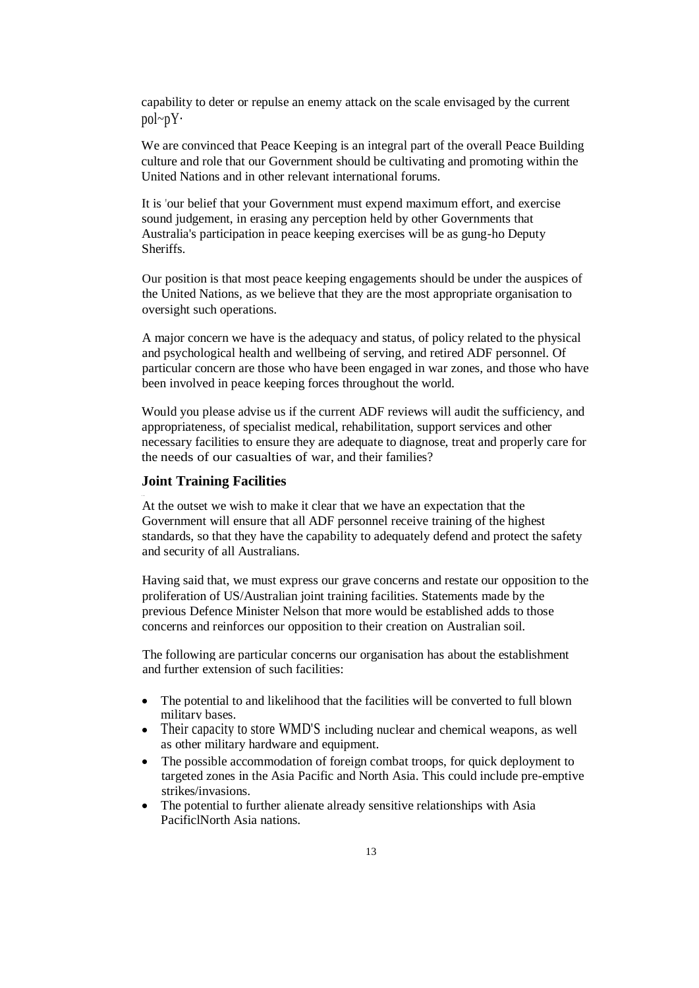capability to deter or repulse an enemy attack on the scale envisaged by the current pol~pY·

We are convinced that Peace Keeping is an integral part of the overall Peace Building culture and role that our Government should be cultivating and promoting within the United Nations and in other relevant international forums.

It is 'our belief that your Government must expend maximum effort, and exercise sound judgement, in erasing any perception held by other Governments that Australia's participation in peace keeping exercises will be as gung-ho Deputy Sheriffs.

Our position is that most peace keeping engagements should be under the auspices of the United Nations, as we believe that they are the most appropriate organisation to oversight such operations.

A major concern we have is the adequacy and status, of policy related to the physical and psychological health and wellbeing of serving, and retired ADF personnel. Of particular concern are those who have been engaged in war zones, and those who have been involved in peace keeping forces throughout the world.

Would you please advise us if the current ADF reviews will audit the sufficiency, and appropriateness, of specialist medical, rehabilitation, support services and other necessary facilities to ensure they are adequate to diagnose, treat and properly care for the needs of our casualties of war, and their families?

## **Joint Training Facilities**

..

At the outset we wish to make it clear that we have an expectation that the Government will ensure that all ADF personnel receive training of the highest standards, so that they have the capability to adequately defend and protect the safety and security of all Australians.

Having said that, we must express our grave concerns and restate our opposition to the proliferation of US/Australian joint training facilities. Statements made by the previous Defence Minister Nelson that more would be established adds to those concerns and reinforces our opposition to their creation on Australian soil.

The following are particular concerns our organisation has about the establishment and further extension of such facilities:

- The potential to and likelihood that the facilities will be converted to full blown military bases.
- Their capacity to store WMD'S including nuclear and chemical weapons, as well as other military hardware and equipment.
- The possible accommodation of foreign combat troops, for quick deployment to targeted zones in the Asia Pacific and North Asia. This could include pre-emptive strikes/invasions.
- The potential to further alienate already sensitive relationships with Asia PacificlNorth Asia nations.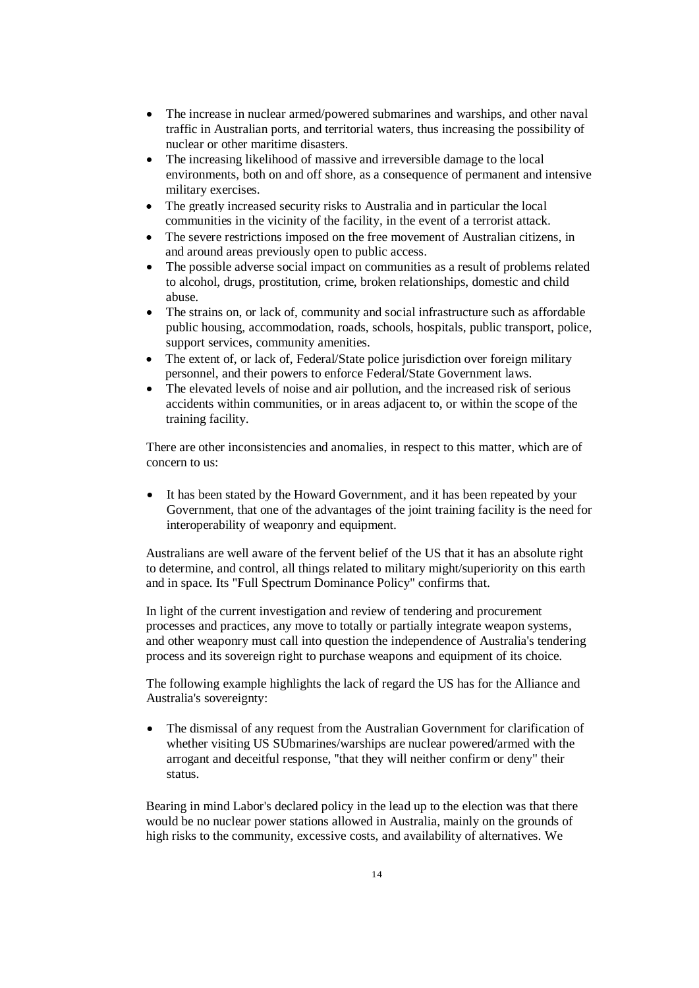- The increase in nuclear armed/powered submarines and warships, and other naval traffic in Australian ports, and territorial waters, thus increasing the possibility of nuclear or other maritime disasters.
- The increasing likelihood of massive and irreversible damage to the local environments, both on and off shore, as a consequence of permanent and intensive military exercises.
- The greatly increased security risks to Australia and in particular the local communities in the vicinity of the facility, in the event of a terrorist attack.
- The severe restrictions imposed on the free movement of Australian citizens, in and around areas previously open to public access.
- The possible adverse social impact on communities as a result of problems related to alcohol, drugs, prostitution, crime, broken relationships, domestic and child abuse.
- The strains on, or lack of, community and social infrastructure such as affordable public housing, accommodation, roads, schools, hospitals, public transport, police, support services, community amenities.
- The extent of, or lack of, Federal/State police jurisdiction over foreign military personnel, and their powers to enforce Federal/State Government laws.
- The elevated levels of noise and air pollution, and the increased risk of serious accidents within communities, or in areas adjacent to, or within the scope of the training facility.

There are other inconsistencies and anomalies, in respect to this matter, which are of concern to us:

 It has been stated by the Howard Government, and it has been repeated by your Government, that one of the advantages of the joint training facility is the need for interoperability of weaponry and equipment.

Australians are well aware of the fervent belief of the US that it has an absolute right to determine, and control, all things related to military might/superiority on this earth and in space. Its "Full Spectrum Dominance Policy" confirms that.

In light of the current investigation and review of tendering and procurement processes and practices, any move to totally or partially integrate weapon systems, and other weaponry must call into question the independence of Australia's tendering process and its sovereign right to purchase weapons and equipment of its choice.

The following example highlights the lack of regard the US has for the Alliance and Australia's sovereignty:

 The dismissal of any request from the Australian Government for clarification of whether visiting US SUbmarines/warships are nuclear powered/armed with the arrogant and deceitful response, ''that they will neither confirm or deny" their status.

Bearing in mind Labor's declared policy in the lead up to the election was that there would be no nuclear power stations allowed in Australia, mainly on the grounds of high risks to the community, excessive costs, and availability of alternatives. We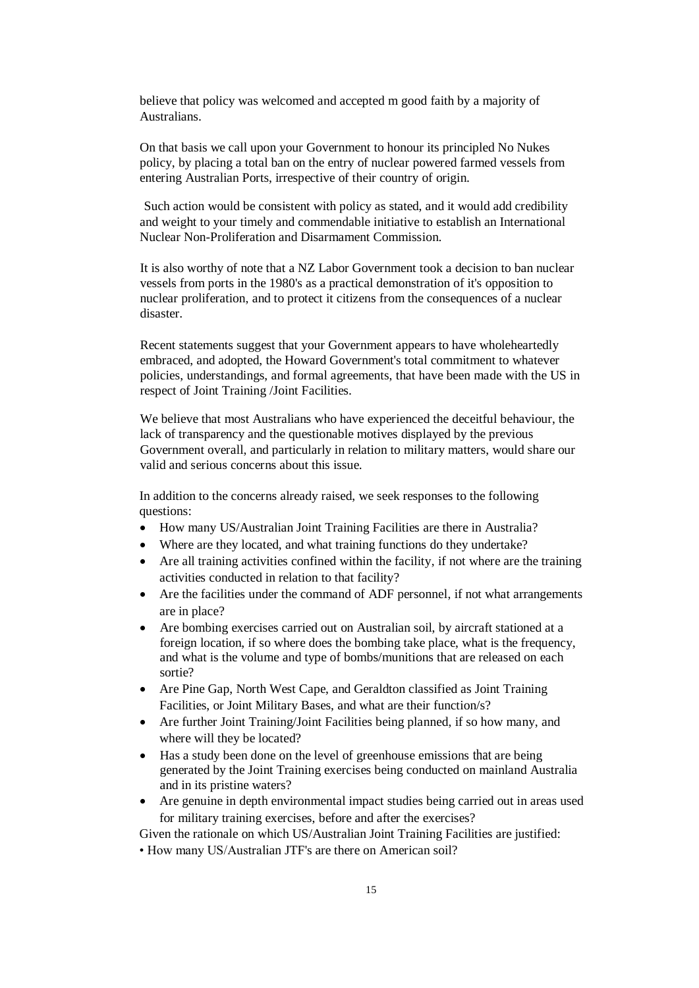believe that policy was welcomed and accepted m good faith by a majority of Australians.

On that basis we call upon your Government to honour its principled No Nukes policy, by placing a total ban on the entry of nuclear powered farmed vessels from entering Australian Ports, irrespective of their country of origin.

Such action would be consistent with policy as stated, and it would add credibility and weight to your timely and commendable initiative to establish an International Nuclear Non-Proliferation and Disarmament Commission.

It is also worthy of note that a NZ Labor Government took a decision to ban nuclear vessels from ports in the 1980's as a practical demonstration of it's opposition to nuclear proliferation, and to protect it citizens from the consequences of a nuclear disaster.

Recent statements suggest that your Government appears to have wholeheartedly embraced, and adopted, the Howard Government's total commitment to whatever policies, understandings, and formal agreements, that have been made with the US in respect of Joint Training /Joint Facilities.

We believe that most Australians who have experienced the deceitful behaviour, the lack of transparency and the questionable motives displayed by the previous Government overall, and particularly in relation to military matters, would share our valid and serious concerns about this issue.

In addition to the concerns already raised, we seek responses to the following questions:

- How many US/Australian Joint Training Facilities are there in Australia?
- Where are they located, and what training functions do they undertake?
- Are all training activities confined within the facility, if not where are the training activities conducted in relation to that facility?
- Are the facilities under the command of ADF personnel, if not what arrangements are in place?
- Are bombing exercises carried out on Australian soil, by aircraft stationed at a foreign location, if so where does the bombing take place, what is the frequency, and what is the volume and type of bombs/munitions that are released on each sortie?
- Are Pine Gap, North West Cape, and Geraldton classified as Joint Training Facilities, or Joint Military Bases, and what are their function/s?
- Are further Joint Training/Joint Facilities being planned, if so how many, and where will they be located?
- Has a study been done on the level of greenhouse emissions that are being generated by the Joint Training exercises being conducted on mainland Australia and in its pristine waters?
- Are genuine in depth environmental impact studies being carried out in areas used for military training exercises, before and after the exercises?

Given the rationale on which US/Australian Joint Training Facilities are justified:

• How many US/Australian JTF's are there on American soil?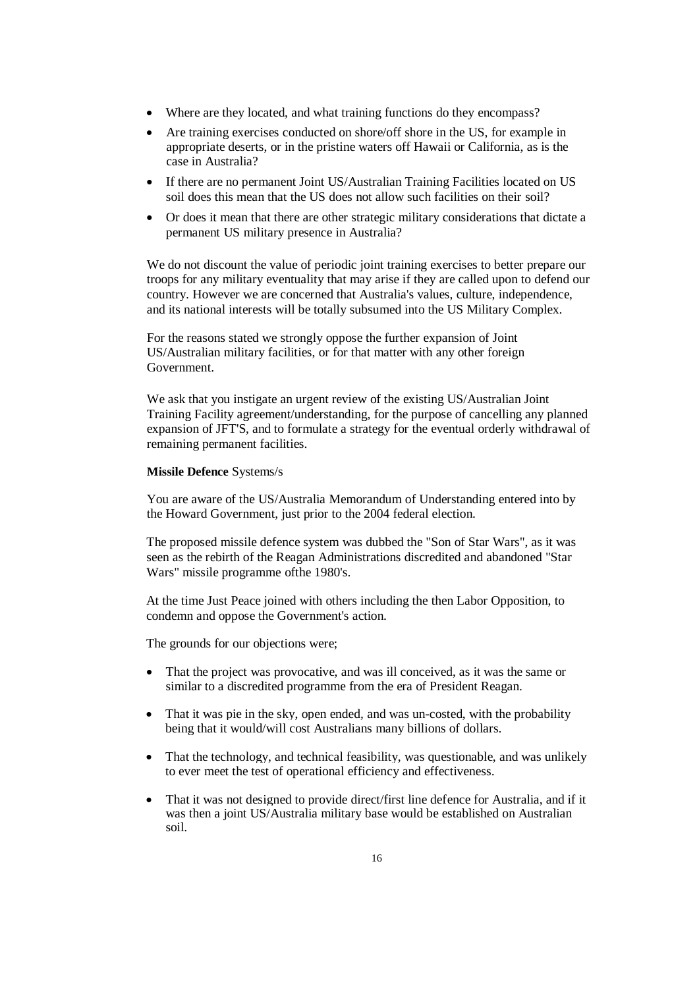- Where are they located, and what training functions do they encompass?
- Are training exercises conducted on shore/off shore in the US, for example in appropriate deserts, or in the pristine waters off Hawaii or California, as is the case in Australia?
- If there are no permanent Joint US/Australian Training Facilities located on US soil does this mean that the US does not allow such facilities on their soil?
- Or does it mean that there are other strategic military considerations that dictate a permanent US military presence in Australia?

We do not discount the value of periodic joint training exercises to better prepare our troops for any military eventuality that may arise if they are called upon to defend our country. However we are concerned that Australia's values, culture, independence, and its national interests will be totally subsumed into the US Military Complex.

For the reasons stated we strongly oppose the further expansion of Joint US/Australian military facilities, or for that matter with any other foreign Government.

We ask that you instigate an urgent review of the existing US/Australian Joint Training Facility agreement/understanding, for the purpose of cancelling any planned expansion of JFT'S, and to formulate a strategy for the eventual orderly withdrawal of remaining permanent facilities.

## **Missile Defence** Systems/s

You are aware of the US/Australia Memorandum of Understanding entered into by the Howard Government, just prior to the 2004 federal election.

The proposed missile defence system was dubbed the "Son of Star Wars", as it was seen as the rebirth of the Reagan Administrations discredited and abandoned "Star Wars" missile programme ofthe 1980's.

At the time Just Peace joined with others including the then Labor Opposition, to condemn and oppose the Government's action.

The grounds for our objections were;

- That the project was provocative, and was ill conceived, as it was the same or similar to a discredited programme from the era of President Reagan.
- That it was pie in the sky, open ended, and was un-costed, with the probability being that it would/will cost Australians many billions of dollars.
- That the technology, and technical feasibility, was questionable, and was unlikely to ever meet the test of operational efficiency and effectiveness.
- That it was not designed to provide direct/first line defence for Australia, and if it was then a joint US/Australia military base would be established on Australian soil.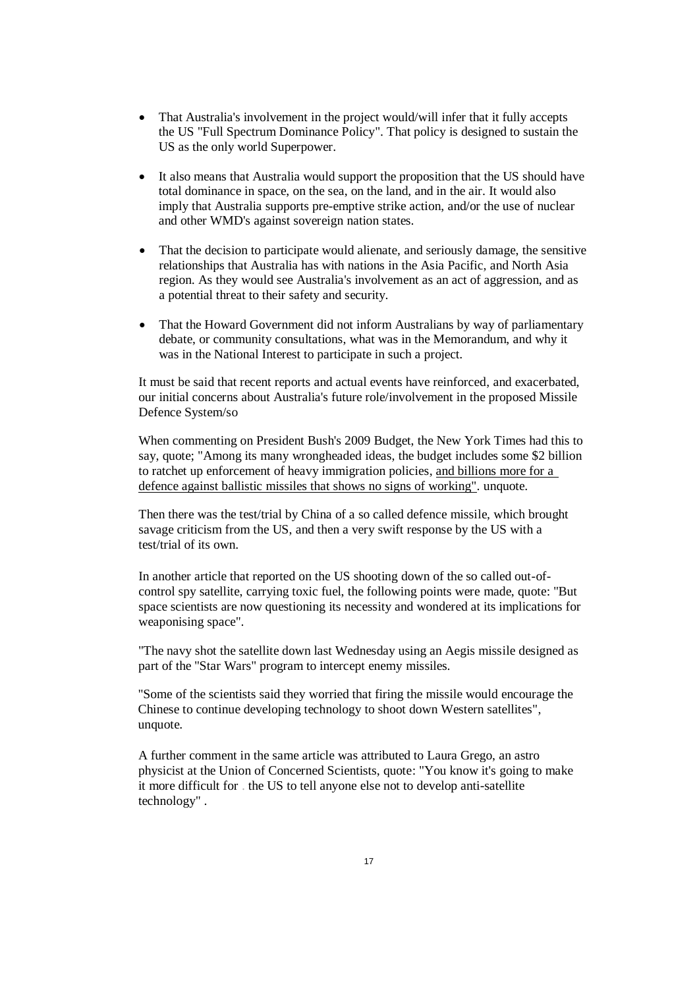- That Australia's involvement in the project would/will infer that it fully accepts the US "Full Spectrum Dominance Policy". That policy is designed to sustain the US as the only world Superpower.
- It also means that Australia would support the proposition that the US should have total dominance in space, on the sea, on the land, and in the air. It would also imply that Australia supports pre-emptive strike action, and/or the use of nuclear and other WMD's against sovereign nation states.
- That the decision to participate would alienate, and seriously damage, the sensitive relationships that Australia has with nations in the Asia Pacific, and North Asia region. As they would see Australia's involvement as an act of aggression, and as a potential threat to their safety and security.
- That the Howard Government did not inform Australians by way of parliamentary debate, or community consultations, what was in the Memorandum, and why it was in the National Interest to participate in such a project.

It must be said that recent reports and actual events have reinforced, and exacerbated, our initial concerns about Australia's future role/involvement in the proposed Missile Defence System/so

When commenting on President Bush's 2009 Budget, the New York Times had this to say, quote; "Among its many wrongheaded ideas, the budget includes some \$2 billion to ratchet up enforcement of heavy immigration policies, and billions more for a defence against ballistic missiles that shows no signs of working". unquote.

Then there was the test/trial by China of a so called defence missile, which brought savage criticism from the US, and then a very swift response by the US with a test/trial of its own.

In another article that reported on the US shooting down of the so called out-ofcontrol spy satellite, carrying toxic fuel, the following points were made, quote: "But space scientists are now questioning its necessity and wondered at its implications for weaponising space".

"The navy shot the satellite down last Wednesday using an Aegis missile designed as part of the "Star Wars" program to intercept enemy missiles.

"Some of the scientists said they worried that firing the missile would encourage the Chinese to continue developing technology to shoot down Western satellites", unquote.

A further comment in the same article was attributed to Laura Grego, an astro physicist at the Union of Concerned Scientists, quote: "You know it's going to make it more difficult for . the US to tell anyone else not to develop anti-satellite technology" .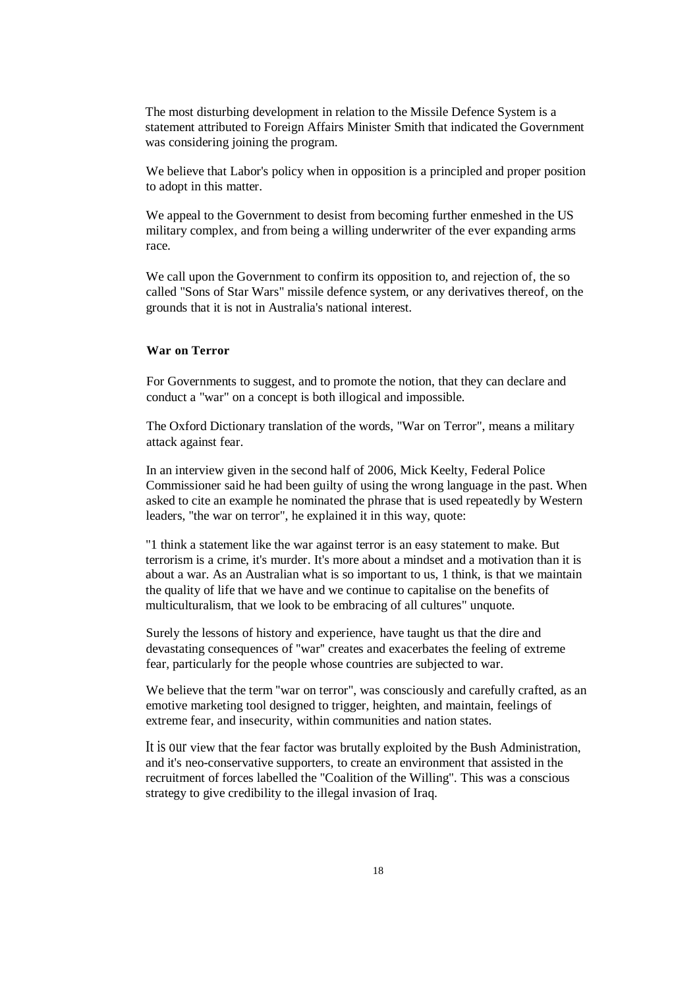The most disturbing development in relation to the Missile Defence System is a statement attributed to Foreign Affairs Minister Smith that indicated the Government was considering joining the program.

We believe that Labor's policy when in opposition is a principled and proper position to adopt in this matter.

We appeal to the Government to desist from becoming further enmeshed in the US military complex, and from being a willing underwriter of the ever expanding arms race.

We call upon the Government to confirm its opposition to, and rejection of, the so called "Sons of Star Wars" missile defence system, or any derivatives thereof, on the grounds that it is not in Australia's national interest.

### **War on Terror**

For Governments to suggest, and to promote the notion, that they can declare and conduct a "war" on a concept is both illogical and impossible.

The Oxford Dictionary translation of the words, "War on Terror", means a military attack against fear.

In an interview given in the second half of 2006, Mick Keelty, Federal Police Commissioner said he had been guilty of using the wrong language in the past. When asked to cite an example he nominated the phrase that is used repeatedly by Western leaders, ''the war on terror", he explained it in this way, quote:

"1 think a statement like the war against terror is an easy statement to make. But terrorism is a crime, it's murder. It's more about a mindset and a motivation than it is about a war. As an Australian what is so important to us, 1 think, is that we maintain the quality of life that we have and we continue to capitalise on the benefits of multiculturalism, that we look to be embracing of all cultures" unquote.

Surely the lessons of history and experience, have taught us that the dire and devastating consequences of ''war'' creates and exacerbates the feeling of extreme fear, particularly for the people whose countries are subjected to war.

We believe that the term "war on terror", was consciously and carefully crafted, as an emotive marketing tool designed to trigger, heighten, and maintain, feelings of extreme fear, and insecurity, within communities and nation states.

It is our view that the fear factor was brutally exploited by the Bush Administration, and it's neo-conservative supporters, to create an environment that assisted in the recruitment of forces labelled the "Coalition of the Willing". This was a conscious strategy to give credibility to the illegal invasion of Iraq.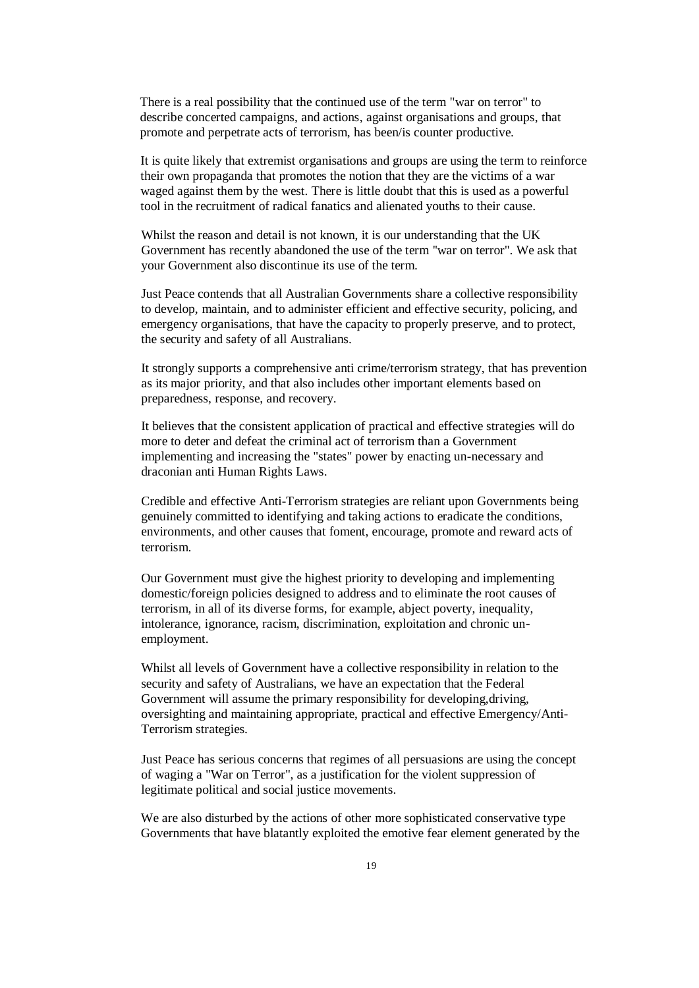There is a real possibility that the continued use of the term "war on terror" to describe concerted campaigns, and actions, against organisations and groups, that promote and perpetrate acts of terrorism, has been/is counter productive.

It is quite likely that extremist organisations and groups are using the term to reinforce their own propaganda that promotes the notion that they are the victims of a war waged against them by the west. There is little doubt that this is used as a powerful tool in the recruitment of radical fanatics and alienated youths to their cause.

Whilst the reason and detail is not known, it is our understanding that the UK Government has recently abandoned the use of the term ''war on terror". We ask that your Government also discontinue its use of the term.

Just Peace contends that all Australian Governments share a collective responsibility to develop, maintain, and to administer efficient and effective security, policing, and emergency organisations, that have the capacity to properly preserve, and to protect, the security and safety of all Australians.

It strongly supports a comprehensive anti crime/terrorism strategy, that has prevention as its major priority, and that also includes other important elements based on preparedness, response, and recovery.

It believes that the consistent application of practical and effective strategies will do more to deter and defeat the criminal act of terrorism than a Government implementing and increasing the "states" power by enacting un-necessary and draconian anti Human Rights Laws.

Credible and effective Anti-Terrorism strategies are reliant upon Governments being genuinely committed to identifying and taking actions to eradicate the conditions, environments, and other causes that foment, encourage, promote and reward acts of terrorism.

Our Government must give the highest priority to developing and implementing domestic/foreign policies designed to address and to eliminate the root causes of terrorism, in all of its diverse forms, for example, abject poverty, inequality, intolerance, ignorance, racism, discrimination, exploitation and chronic unemployment.

Whilst all levels of Government have a collective responsibility in relation to the security and safety of Australians, we have an expectation that the Federal Government will assume the primary responsibility for developing,driving, oversighting and maintaining appropriate, practical and effective Emergency/Anti-Terrorism strategies.

Just Peace has serious concerns that regimes of all persuasions are using the concept of waging a "War on Terror", as a justification for the violent suppression of legitimate political and social justice movements.

We are also disturbed by the actions of other more sophisticated conservative type Governments that have blatantly exploited the emotive fear element generated by the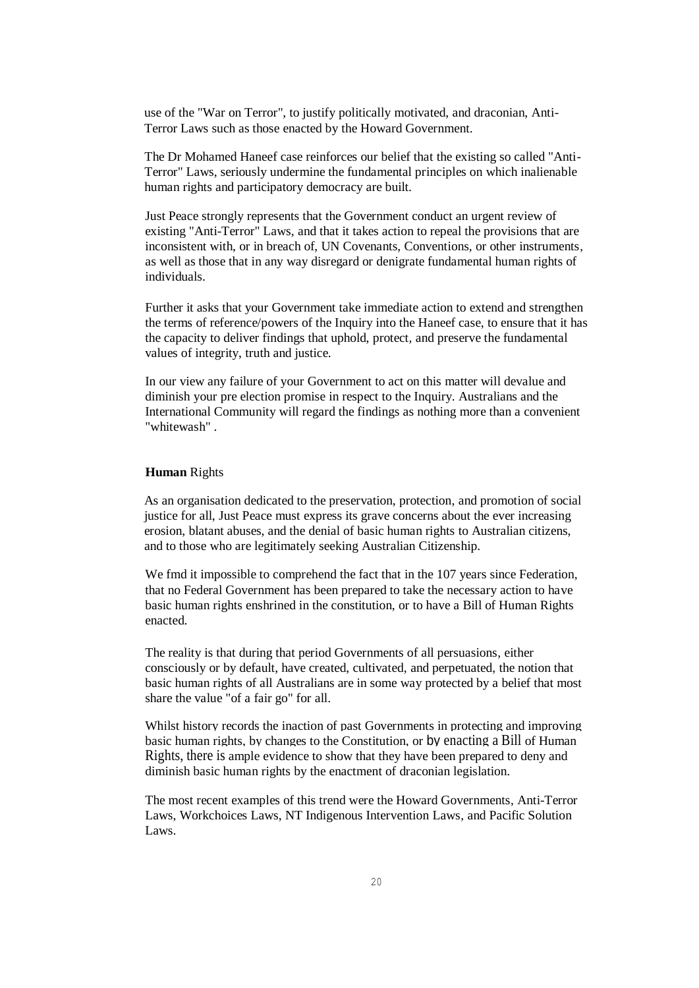use of the "War on Terror", to justify politically motivated, and draconian, Anti-Terror Laws such as those enacted by the Howard Government.

The Dr Mohamed Haneef case reinforces our belief that the existing so called "Anti-Terror" Laws, seriously undermine the fundamental principles on which inalienable human rights and participatory democracy are built.

Just Peace strongly represents that the Government conduct an urgent review of existing "Anti-Terror" Laws, and that it takes action to repeal the provisions that are inconsistent with, or in breach of, UN Covenants, Conventions, or other instruments, as well as those that in any way disregard or denigrate fundamental human rights of individuals.

Further it asks that your Government take immediate action to extend and strengthen the terms of reference/powers of the Inquiry into the Haneef case, to ensure that it has the capacity to deliver findings that uphold, protect, and preserve the fundamental values of integrity, truth and justice.

In our view any failure of your Government to act on this matter will devalue and diminish your pre election promise in respect to the Inquiry. Australians and the International Community will regard the findings as nothing more than a convenient "whitewash" .

## **Human** Rights

As an organisation dedicated to the preservation, protection, and promotion of social justice for all, Just Peace must express its grave concerns about the ever increasing erosion, blatant abuses, and the denial of basic human rights to Australian citizens, and to those who are legitimately seeking Australian Citizenship.

We fmd it impossible to comprehend the fact that in the 107 years since Federation, that no Federal Government has been prepared to take the necessary action to have basic human rights enshrined in the constitution, or to have a Bill of Human Rights enacted.

The reality is that during that period Governments of all persuasions, either consciously or by default, have created, cultivated, and perpetuated, the notion that basic human rights of all Australians are in some way protected by a belief that most share the value "of a fair go" for all.

Whilst history records the inaction of past Governments in protecting and improving basic human rights, by changes to the Constitution, or by enacting a Bill of Human Rights, there is ample evidence to show that they have been prepared to deny and diminish basic human rights by the enactment of draconian legislation.

The most recent examples of this trend were the Howard Governments, Anti-Terror Laws, Workchoices Laws, NT Indigenous Intervention Laws, and Pacific Solution Laws.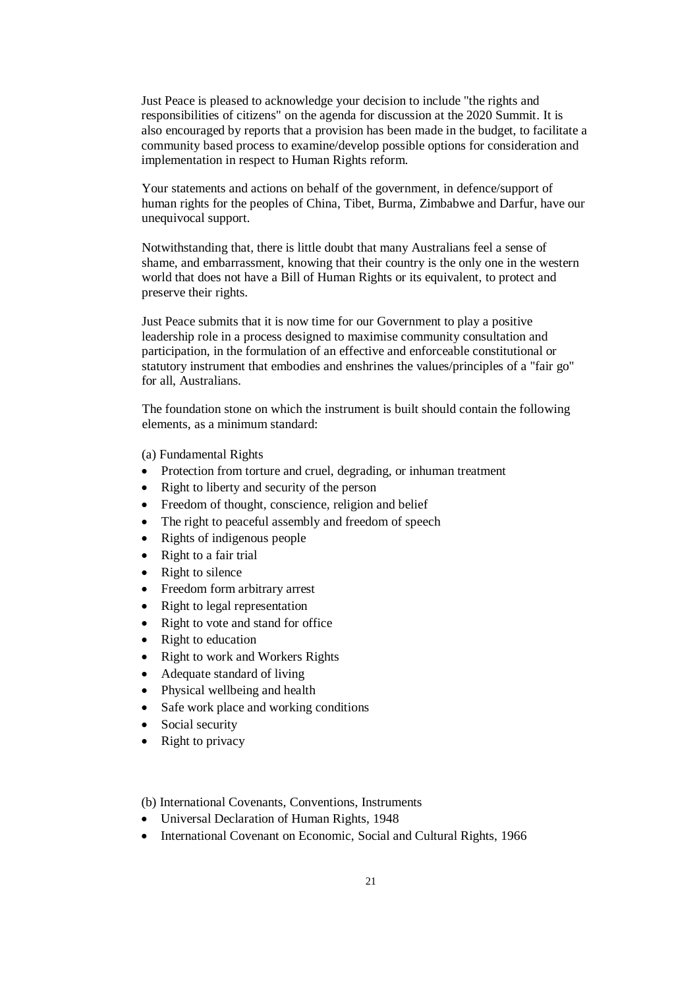Just Peace is pleased to acknowledge your decision to include "the rights and responsibilities of citizens" on the agenda for discussion at the 2020 Summit. It is also encouraged by reports that a provision has been made in the budget, to facilitate a community based process to examine/develop possible options for consideration and implementation in respect to Human Rights reform.

Your statements and actions on behalf of the government, in defence/support of human rights for the peoples of China, Tibet, Burma, Zimbabwe and Darfur, have our unequivocal support.

Notwithstanding that, there is little doubt that many Australians feel a sense of shame, and embarrassment, knowing that their country is the only one in the western world that does not have a Bill of Human Rights or its equivalent, to protect and preserve their rights.

Just Peace submits that it is now time for our Government to play a positive leadership role in a process designed to maximise community consultation and participation, in the formulation of an effective and enforceable constitutional or statutory instrument that embodies and enshrines the values/principles of a "fair go" for all, Australians.

The foundation stone on which the instrument is built should contain the following elements, as a minimum standard:

(a) Fundamental Rights

- Protection from torture and cruel, degrading, or inhuman treatment
- Right to liberty and security of the person
- Freedom of thought, conscience, religion and belief
- The right to peaceful assembly and freedom of speech
- Rights of indigenous people
- Right to a fair trial
- Right to silence
- Freedom form arbitrary arrest
- Right to legal representation
- Right to vote and stand for office
- Right to education
- Right to work and Workers Rights
- Adequate standard of living
- Physical wellbeing and health
- Safe work place and working conditions
- Social security
- Right to privacy

(b) International Covenants, Conventions, Instruments

- Universal Declaration of Human Rights, 1948
- International Covenant on Economic, Social and Cultural Rights, 1966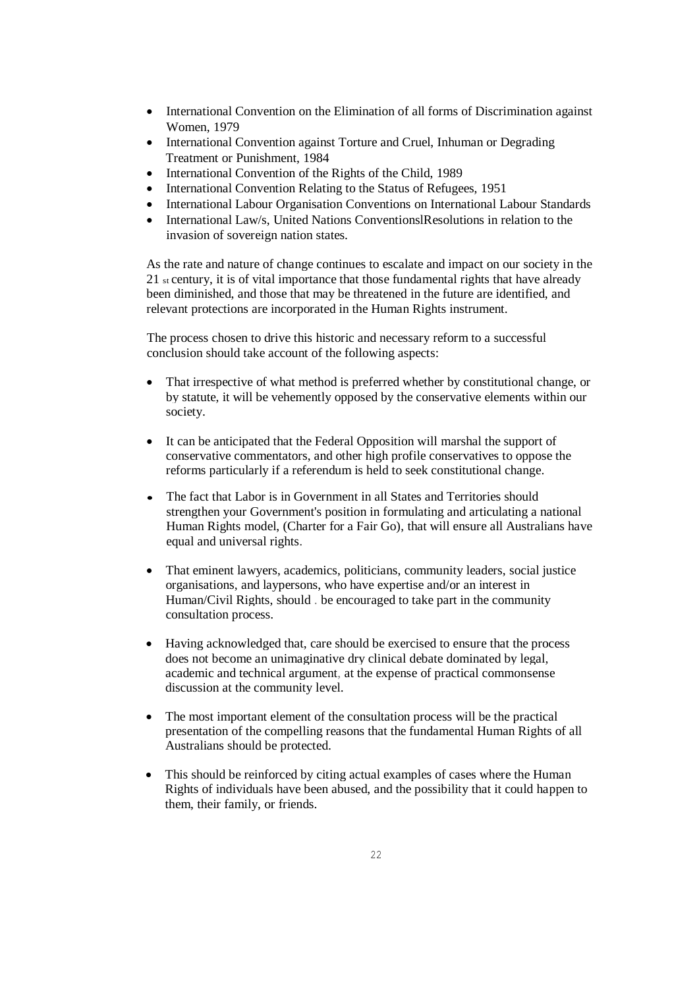- International Convention on the Elimination of all forms of Discrimination against Women, 1979
- International Convention against Torture and Cruel, Inhuman or Degrading Treatment or Punishment, 1984
- International Convention of the Rights of the Child, 1989
- International Convention Relating to the Status of Refugees, 1951
- International Labour Organisation Conventions on International Labour Standards
- International Law/s, United Nations ConventionslResolutions in relation to the invasion of sovereign nation states.

As the rate and nature of change continues to escalate and impact on our society in the 21 st century, it is of vital importance that those fundamental rights that have already been diminished, and those that may be threatened in the future are identified, and relevant protections are incorporated in the Human Rights instrument.

The process chosen to drive this historic and necessary reform to a successful conclusion should take account of the following aspects:

- That irrespective of what method is preferred whether by constitutional change, or by statute, it will be vehemently opposed by the conservative elements within our society.
- It can be anticipated that the Federal Opposition will marshal the support of conservative commentators, and other high profile conservatives to oppose the reforms particularly if a referendum is held to seek constitutional change.
- The fact that Labor is in Government in all States and Territories should strengthen your Government's position in formulating and articulating a national Human Rights model, (Charter for a Fair Go), that will ensure all Australians have equal and universal rights.
- That eminent lawyers, academics, politicians, community leaders, social justice organisations, and laypersons, who have expertise and/or an interest in Human/Civil Rights, should . be encouraged to take part in the community consultation process.
- Having acknowledged that, care should be exercised to ensure that the process does not become an unimaginative dry clinical debate dominated by legal, academic and technical argument, at the expense of practical commonsense discussion at the community level.
- The most important element of the consultation process will be the practical presentation of the compelling reasons that the fundamental Human Rights of all Australians should be protected.
- This should be reinforced by citing actual examples of cases where the Human Rights of individuals have been abused, and the possibility that it could happen to them, their family, or friends.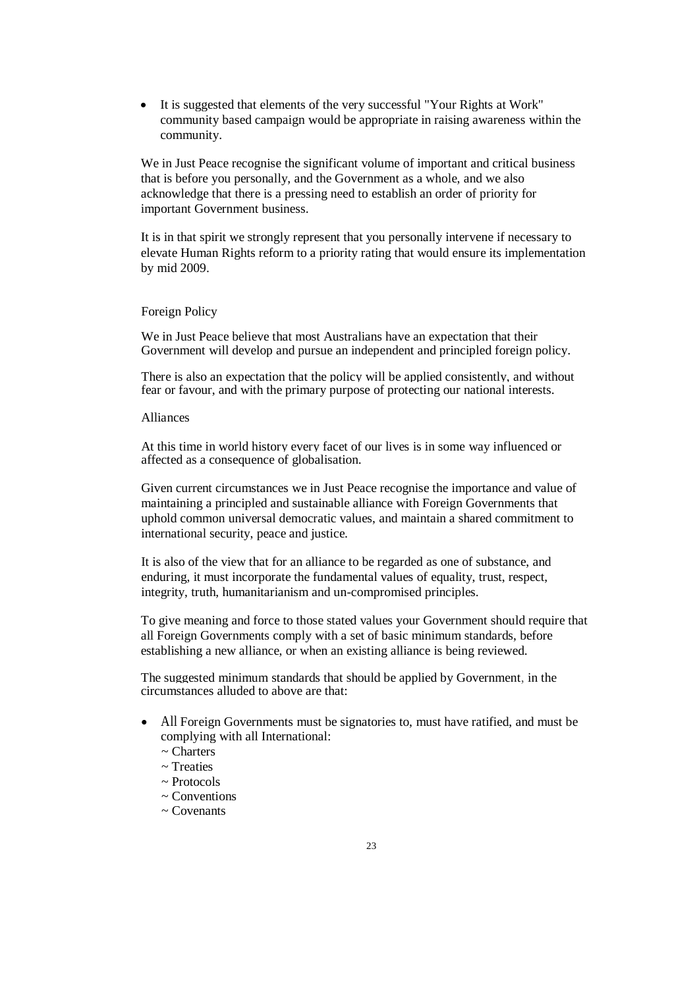It is suggested that elements of the very successful "Your Rights at Work" community based campaign would be appropriate in raising awareness within the community.

We in Just Peace recognise the significant volume of important and critical business that is before you personally, and the Government as a whole, and we also acknowledge that there is a pressing need to establish an order of priority for important Government business.

It is in that spirit we strongly represent that you personally intervene if necessary to elevate Human Rights reform to a priority rating that would ensure its implementation by mid 2009.

#### Foreign Policy

We in Just Peace believe that most Australians have an expectation that their Government will develop and pursue an independent and principled foreign policy.

There is also an expectation that the policy will be applied consistently, and without fear or favour, and with the primary purpose of protecting our national interests.

#### Alliances

At this time in world history every facet of our lives is in some way influenced or affected as a consequence of globalisation.

Given current circumstances we in Just Peace recognise the importance and value of maintaining a principled and sustainable alliance with Foreign Governments that uphold common universal democratic values, and maintain a shared commitment to international security, peace and justice.

It is also of the view that for an alliance to be regarded as one of substance, and enduring, it must incorporate the fundamental values of equality, trust, respect, integrity, truth, humanitarianism and un-compromised principles.

To give meaning and force to those stated values your Government should require that all Foreign Governments comply with a set of basic minimum standards, before establishing a new alliance, or when an existing alliance is being reviewed.

The suggested minimum standards that should be applied by Government, in the circumstances alluded to above are that:

- All Foreign Governments must be signatories to, must have ratified, and must be complying with all International:
	- ~ Charters
	- ~ Treaties
	- $\sim$  Protocols
	- ~ Conventions
	- ~ Covenants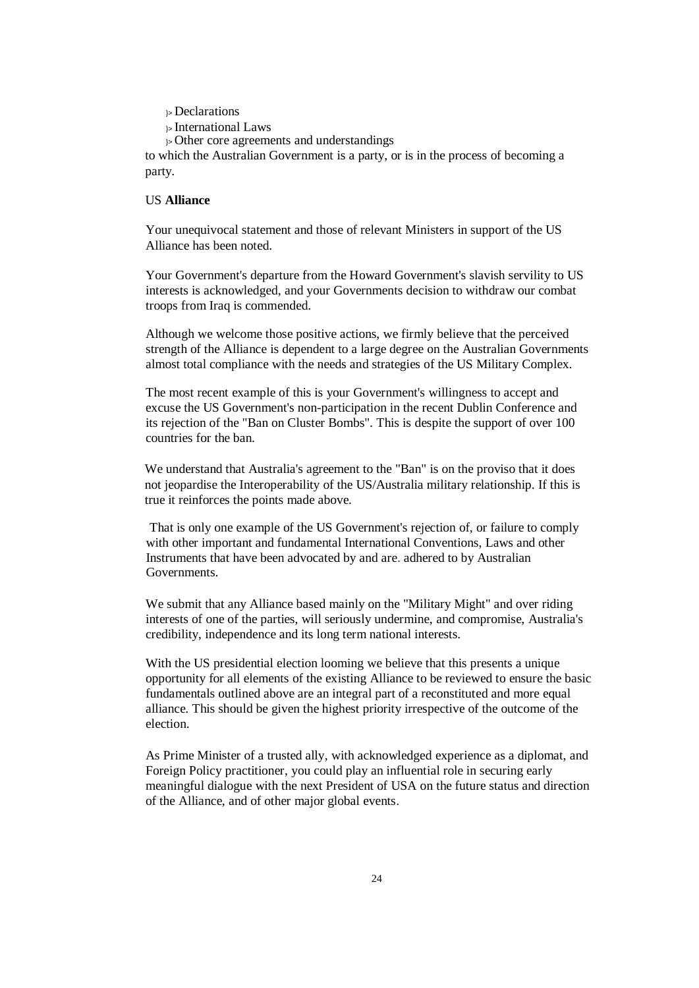$\triangleright$  Declarations

}> International Laws

 $\rightarrow$  Other core agreements and understandings

to which the Australian Government is a party, or is in the process of becoming a party.

# US **Alliance**

Your unequivocal statement and those of relevant Ministers in support of the US Alliance has been noted.

Your Government's departure from the Howard Government's slavish servility to US interests is acknowledged, and your Governments decision to withdraw our combat troops from Iraq is commended.

Although we welcome those positive actions, we firmly believe that the perceived strength of the Alliance is dependent to a large degree on the Australian Governments almost total compliance with the needs and strategies of the US Military Complex.

The most recent example of this is your Government's willingness to accept and excuse the US Government's non-participation in the recent Dublin Conference and its rejection of the "Ban on Cluster Bombs". This is despite the support of over 100 countries for the ban.

We understand that Australia's agreement to the "Ban" is on the proviso that it does not jeopardise the Interoperability of the US/Australia military relationship. If this is true it reinforces the points made above.

That is only one example of the US Government's rejection of, or failure to comply with other important and fundamental International Conventions, Laws and other Instruments that have been advocated by and are. adhered to by Australian Governments.

We submit that any Alliance based mainly on the "Military Might" and over riding interests of one of the parties, will seriously undermine, and compromise, Australia's credibility, independence and its long term national interests.

With the US presidential election looming we believe that this presents a unique opportunity for all elements of the existing Alliance to be reviewed to ensure the basic fundamentals outlined above are an integral part of a reconstituted and more equal alliance. This should be given the highest priority irrespective of the outcome of the election.

As Prime Minister of a trusted ally, with acknowledged experience as a diplomat, and Foreign Policy practitioner, you could play an influential role in securing early meaningful dialogue with the next President of USA on the future status and direction of the Alliance, and of other major global events.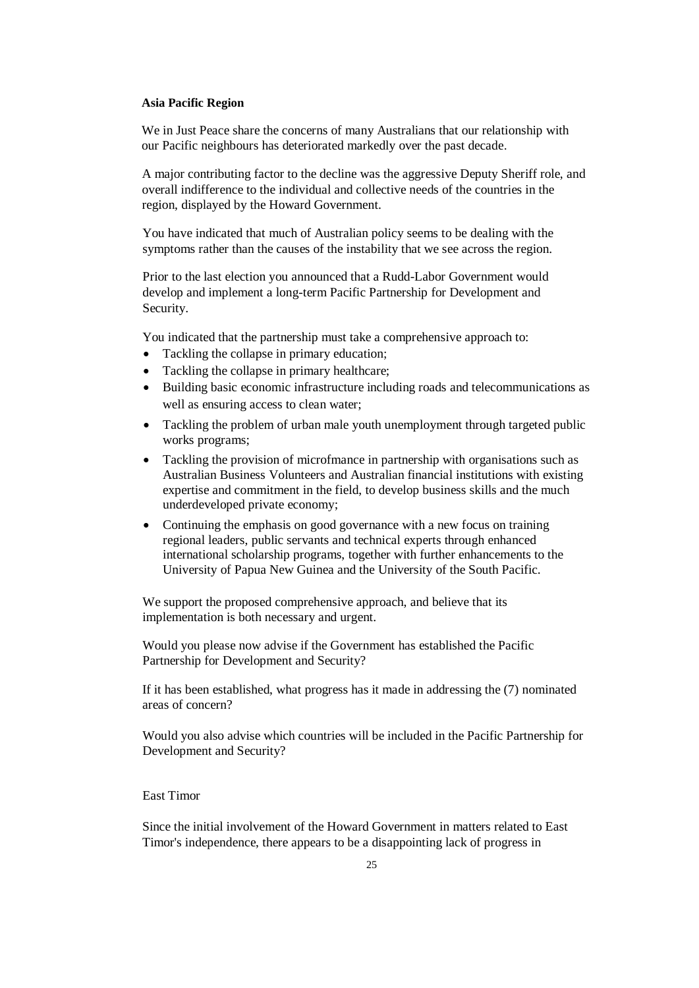#### **Asia Pacific Region**

We in Just Peace share the concerns of many Australians that our relationship with our Pacific neighbours has deteriorated markedly over the past decade.

A major contributing factor to the decline was the aggressive Deputy Sheriff role, and overall indifference to the individual and collective needs of the countries in the region, displayed by the Howard Government.

You have indicated that much of Australian policy seems to be dealing with the symptoms rather than the causes of the instability that we see across the region.

Prior to the last election you announced that a Rudd-Labor Government would develop and implement a long-term Pacific Partnership for Development and Security.

You indicated that the partnership must take a comprehensive approach to:

- Tackling the collapse in primary education;
- Tackling the collapse in primary healthcare;
- Building basic economic infrastructure including roads and telecommunications as well as ensuring access to clean water;
- Tackling the problem of urban male youth unemployment through targeted public works programs;
- Tackling the provision of microfmance in partnership with organisations such as Australian Business Volunteers and Australian financial institutions with existing expertise and commitment in the field, to develop business skills and the much underdeveloped private economy;
- Continuing the emphasis on good governance with a new focus on training regional leaders, public servants and technical experts through enhanced international scholarship programs, together with further enhancements to the University of Papua New Guinea and the University of the South Pacific.

We support the proposed comprehensive approach, and believe that its implementation is both necessary and urgent.

Would you please now advise if the Government has established the Pacific Partnership for Development and Security?

If it has been established, what progress has it made in addressing the (7) nominated areas of concern?

Would you also advise which countries will be included in the Pacific Partnership for Development and Security?

# East Timor

Since the initial involvement of the Howard Government in matters related to East Timor's independence, there appears to be a disappointing lack of progress in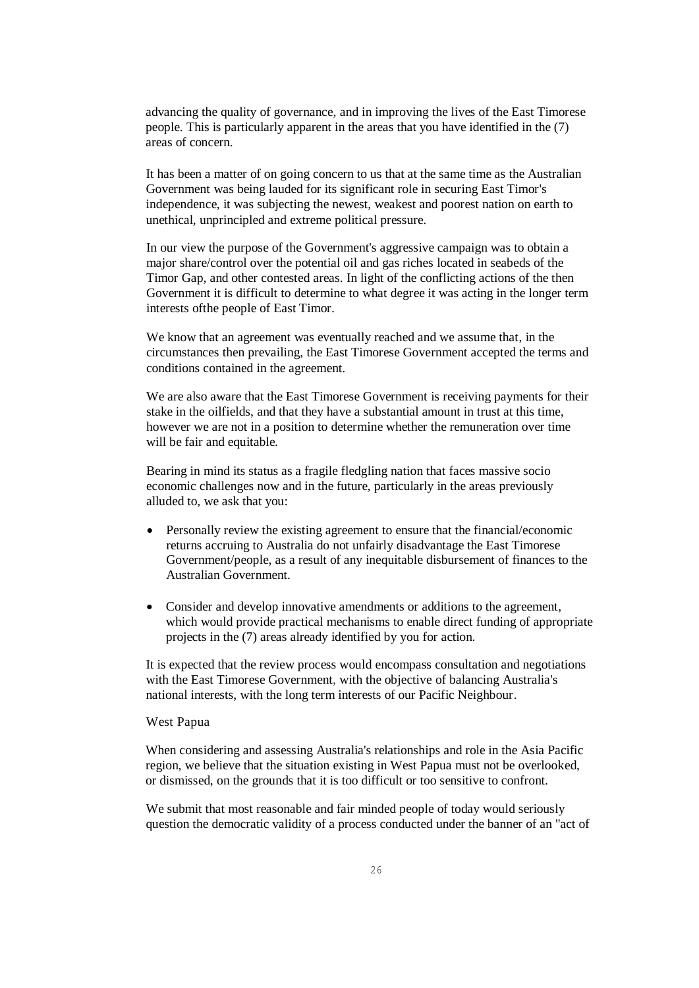advancing the quality of governance, and in improving the lives of the East Timorese people. This is particularly apparent in the areas that you have identified in the (7) areas of concern.

It has been a matter of on going concern to us that at the same time as the Australian Government was being lauded for its significant role in securing East Timor's independence, it was subjecting the newest, weakest and poorest nation on earth to unethical, unprincipled and extreme political pressure.

In our view the purpose of the Government's aggressive campaign was to obtain a major share/control over the potential oil and gas riches located in seabeds of the Timor Gap, and other contested areas. In light of the conflicting actions of the then Government it is difficult to determine to what degree it was acting in the longer term interests ofthe people of East Timor.

We know that an agreement was eventually reached and we assume that, in the circumstances then prevailing, the East Timorese Government accepted the terms and conditions contained in the agreement.

We are also aware that the East Timorese Government is receiving payments for their stake in the oilfields, and that they have a substantial amount in trust at this time, however we are not in a position to determine whether the remuneration over time will be fair and equitable.

Bearing in mind its status as a fragile fledgling nation that faces massive socio economic challenges now and in the future, particularly in the areas previously alluded to, we ask that you:

- Personally review the existing agreement to ensure that the financial/economic returns accruing to Australia do not unfairly disadvantage the East Timorese Government/people, as a result of any inequitable disbursement of finances to the Australian Government.
- Consider and develop innovative amendments or additions to the agreement, which would provide practical mechanisms to enable direct funding of appropriate projects in the (7) areas already identified by you for action.

It is expected that the review process would encompass consultation and negotiations with the East Timorese Government, with the objective of balancing Australia's national interests, with the long term interests of our Pacific Neighbour.

### West Papua

When considering and assessing Australia's relationships and role in the Asia Pacific region, we believe that the situation existing in West Papua must not be overlooked, or dismissed, on the grounds that it is too difficult or too sensitive to confront.

We submit that most reasonable and fair minded people of today would seriously question the democratic validity of a process conducted under the banner of an "act of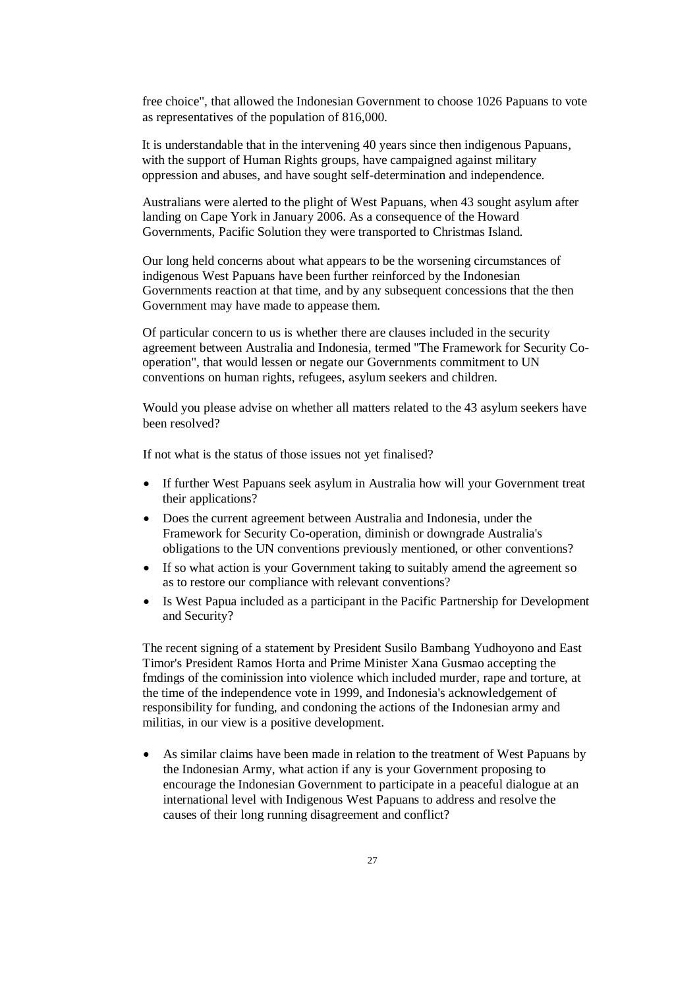free choice", that allowed the Indonesian Government to choose 1026 Papuans to vote as representatives of the population of 816,000.

It is understandable that in the intervening 40 years since then indigenous Papuans, with the support of Human Rights groups, have campaigned against military oppression and abuses, and have sought self-determination and independence.

Australians were alerted to the plight of West Papuans, when 43 sought asylum after landing on Cape York in January 2006. As a consequence of the Howard Governments, Pacific Solution they were transported to Christmas Island.

Our long held concerns about what appears to be the worsening circumstances of indigenous West Papuans have been further reinforced by the Indonesian Governments reaction at that time, and by any subsequent concessions that the then Government may have made to appease them.

Of particular concern to us is whether there are clauses included in the security agreement between Australia and Indonesia, termed "The Framework for Security Cooperation", that would lessen or negate our Governments commitment to UN conventions on human rights, refugees, asylum seekers and children.

Would you please advise on whether all matters related to the 43 asylum seekers have been resolved?

If not what is the status of those issues not yet finalised?

- If further West Papuans seek asylum in Australia how will your Government treat their applications?
- Does the current agreement between Australia and Indonesia, under the Framework for Security Co-operation, diminish or downgrade Australia's obligations to the UN conventions previously mentioned, or other conventions?
- If so what action is your Government taking to suitably amend the agreement so as to restore our compliance with relevant conventions?
- Is West Papua included as a participant in the Pacific Partnership for Development and Security?

The recent signing of a statement by President Susilo Bambang Yudhoyono and East Timor's President Ramos Horta and Prime Minister Xana Gusmao accepting the fmdings of the cominission into violence which included murder, rape and torture, at the time of the independence vote in 1999, and Indonesia's acknowledgement of responsibility for funding, and condoning the actions of the Indonesian army and militias, in our view is a positive development.

 As similar claims have been made in relation to the treatment of West Papuans by the Indonesian Army, what action if any is your Government proposing to encourage the Indonesian Government to participate in a peaceful dialogue at an international level with Indigenous West Papuans to address and resolve the causes of their long running disagreement and conflict?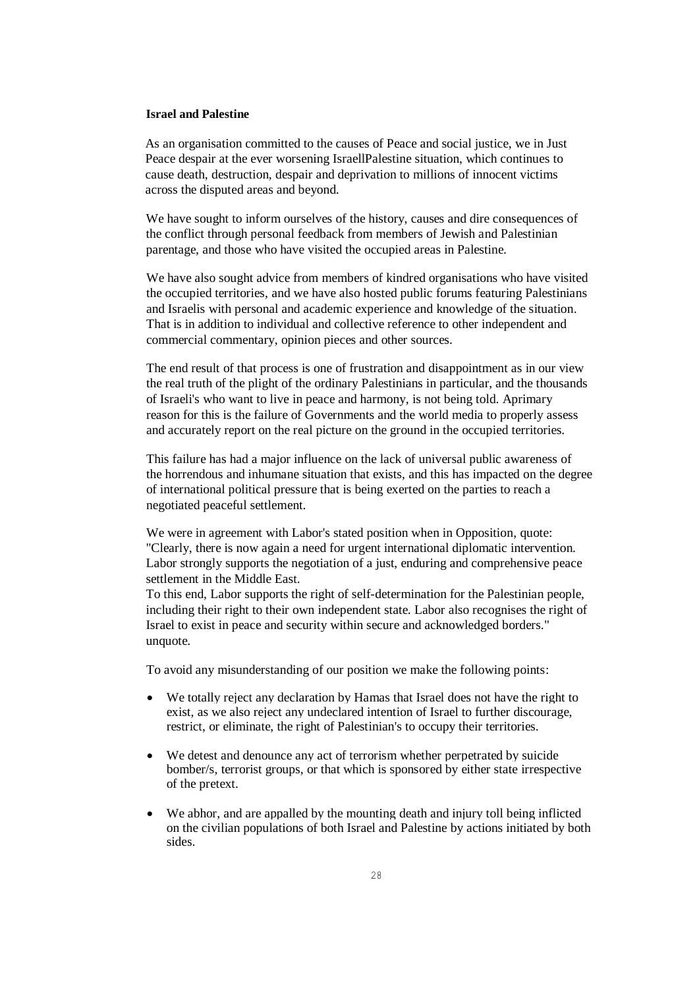## **Israel and Palestine**

As an organisation committed to the causes of Peace and social justice, we in Just Peace despair at the ever worsening IsraellPalestine situation, which continues to cause death, destruction, despair and deprivation to millions of innocent victims across the disputed areas and beyond.

We have sought to inform ourselves of the history, causes and dire consequences of the conflict through personal feedback from members of Jewish and Palestinian parentage, and those who have visited the occupied areas in Palestine.

We have also sought advice from members of kindred organisations who have visited the occupied territories, and we have also hosted public forums featuring Palestinians and Israelis with personal and academic experience and knowledge of the situation. That is in addition to individual and collective reference to other independent and commercial commentary, opinion pieces and other sources.

The end result of that process is one of frustration and disappointment as in our view the real truth of the plight of the ordinary Palestinians in particular, and the thousands of Israeli's who want to live in peace and harmony, is not being told. Aprimary reason for this is the failure of Governments and the world media to properly assess and accurately report on the real picture on the ground in the occupied territories.

This failure has had a major influence on the lack of universal public awareness of the horrendous and inhumane situation that exists, and this has impacted on the degree of international political pressure that is being exerted on the parties to reach a negotiated peaceful settlement.

We were in agreement with Labor's stated position when in Opposition, quote: "Clearly, there is now again a need for urgent international diplomatic intervention. Labor strongly supports the negotiation of a just, enduring and comprehensive peace settlement in the Middle East.

To this end, Labor supports the right of self-determination for the Palestinian people, including their right to their own independent state. Labor also recognises the right of Israel to exist in peace and security within secure and acknowledged borders." unquote.

To avoid any misunderstanding of our position we make the following points:

- We totally reject any declaration by Hamas that Israel does not have the right to exist, as we also reject any undeclared intention of Israel to further discourage, restrict, or eliminate, the right of Palestinian's to occupy their territories.
- We detest and denounce any act of terrorism whether perpetrated by suicide bomber/s, terrorist groups, or that which is sponsored by either state irrespective of the pretext.
- We abhor, and are appalled by the mounting death and injury toll being inflicted on the civilian populations of both Israel and Palestine by actions initiated by both sides.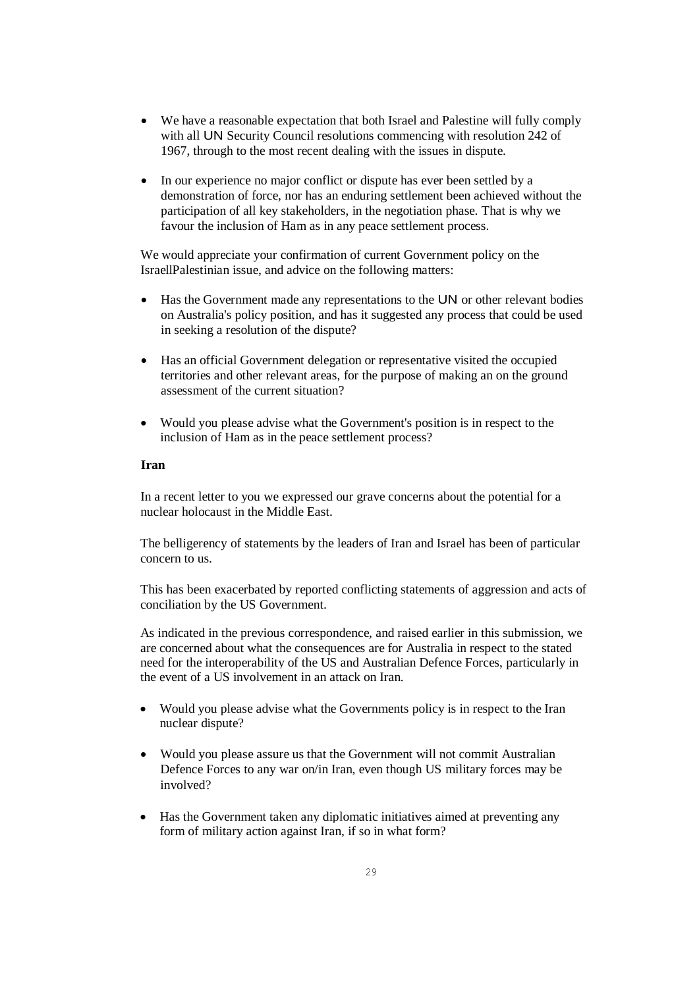- We have a reasonable expectation that both Israel and Palestine will fully comply with all UN Security Council resolutions commencing with resolution 242 of 1967, through to the most recent dealing with the issues in dispute.
- In our experience no major conflict or dispute has ever been settled by a demonstration of force, nor has an enduring settlement been achieved without the participation of all key stakeholders, in the negotiation phase. That is why we favour the inclusion of Ham as in any peace settlement process.

We would appreciate your confirmation of current Government policy on the IsraellPalestinian issue, and advice on the following matters:

- Has the Government made any representations to the UN or other relevant bodies on Australia's policy position, and has it suggested any process that could be used in seeking a resolution of the dispute?
- Has an official Government delegation or representative visited the occupied territories and other relevant areas, for the purpose of making an on the ground assessment of the current situation?
- Would you please advise what the Government's position is in respect to the inclusion of Ham as in the peace settlement process?

### **Iran**

In a recent letter to you we expressed our grave concerns about the potential for a nuclear holocaust in the Middle East.

The belligerency of statements by the leaders of Iran and Israel has been of particular concern to us.

This has been exacerbated by reported conflicting statements of aggression and acts of conciliation by the US Government.

As indicated in the previous correspondence, and raised earlier in this submission, we are concerned about what the consequences are for Australia in respect to the stated need for the interoperability of the US and Australian Defence Forces, particularly in the event of a US involvement in an attack on Iran.

- Would you please advise what the Governments policy is in respect to the Iran nuclear dispute?
- Would you please assure us that the Government will not commit Australian Defence Forces to any war on/in Iran, even though US military forces may be involved?
- Has the Government taken any diplomatic initiatives aimed at preventing any form of military action against Iran, if so in what form?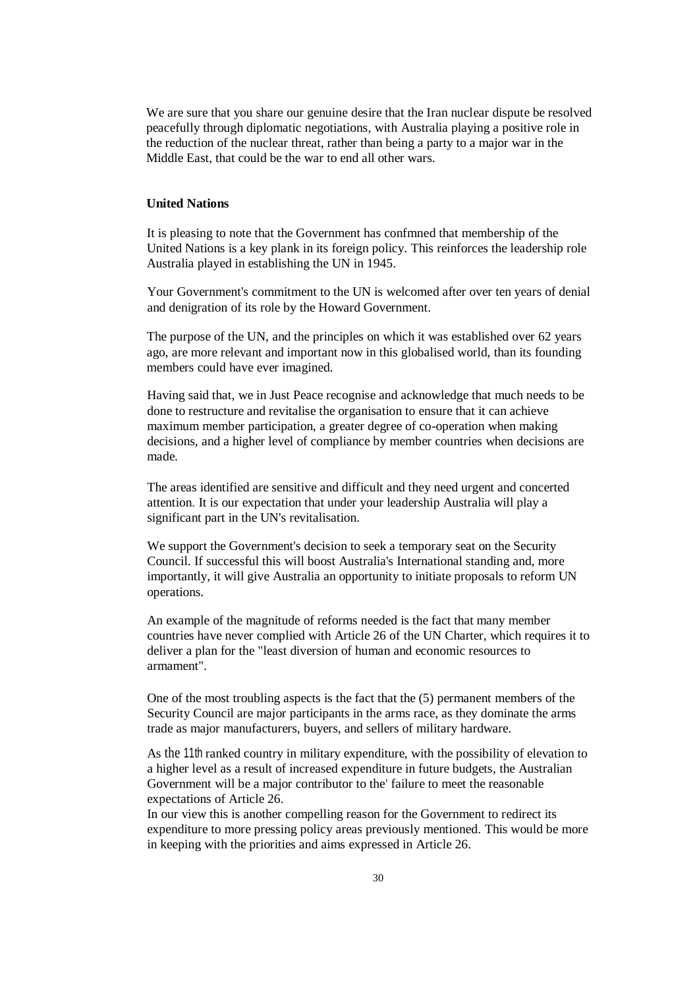We are sure that you share our genuine desire that the Iran nuclear dispute be resolved peacefully through diplomatic negotiations, with Australia playing a positive role in the reduction of the nuclear threat, rather than being a party to a major war in the Middle East, that could be the war to end all other wars.

# **United Nations**

It is pleasing to note that the Government has confmned that membership of the United Nations is a key plank in its foreign policy. This reinforces the leadership role Australia played in establishing the UN in 1945.

Your Government's commitment to the UN is welcomed after over ten years of denial and denigration of its role by the Howard Government.

The purpose of the UN, and the principles on which it was established over 62 years ago, are more relevant and important now in this globalised world, than its founding members could have ever imagined.

Having said that, we in Just Peace recognise and acknowledge that much needs to be done to restructure and revitalise the organisation to ensure that it can achieve maximum member participation, a greater degree of co-operation when making decisions, and a higher level of compliance by member countries when decisions are made.

The areas identified are sensitive and difficult and they need urgent and concerted attention. It is our expectation that under your leadership Australia will play a significant part in the UN's revitalisation.

We support the Government's decision to seek a temporary seat on the Security Council. If successful this will boost Australia's International standing and, more importantly, it will give Australia an opportunity to initiate proposals to reform UN operations.

An example of the magnitude of reforms needed is the fact that many member countries have never complied with Article 26 of the UN Charter, which requires it to deliver a plan for the "least diversion of human and economic resources to armament".

One of the most troubling aspects is the fact that the (5) permanent members of the Security Council are major participants in the arms race, as they dominate the arms trade as major manufacturers, buyers, and sellers of military hardware.

As the 11th ranked country in military expenditure, with the possibility of elevation to a higher level as a result of increased expenditure in future budgets, the Australian Government will be a major contributor to the' failure to meet the reasonable expectations of Article 26.

In our view this is another compelling reason for the Government to redirect its expenditure to more pressing policy areas previously mentioned. This would be more in keeping with the priorities and aims expressed in Article 26.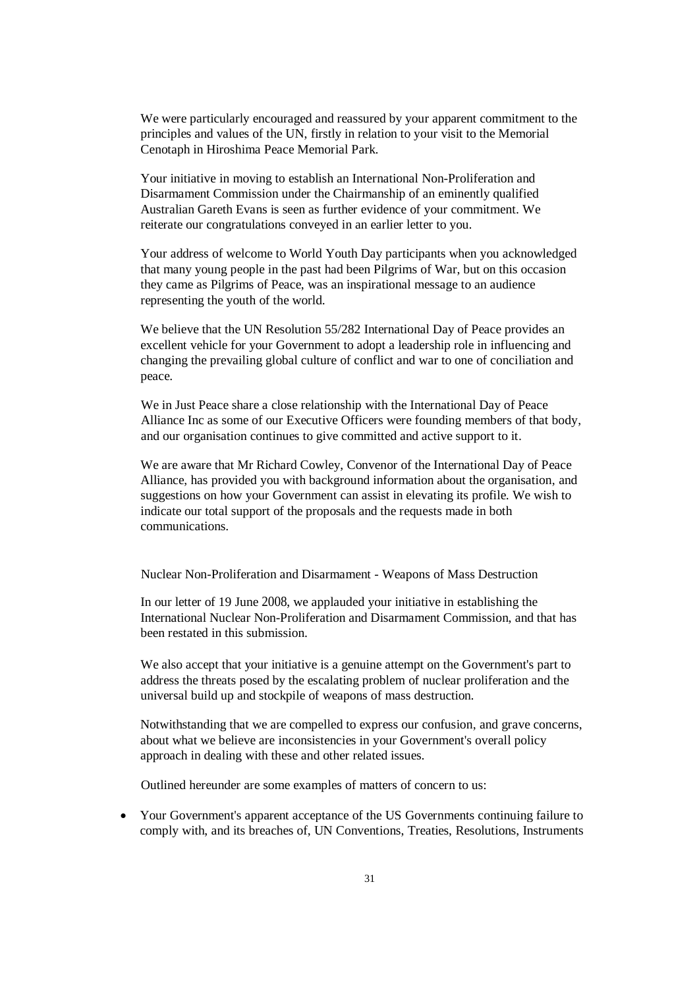We were particularly encouraged and reassured by your apparent commitment to the principles and values of the UN, firstly in relation to your visit to the Memorial Cenotaph in Hiroshima Peace Memorial Park.

Your initiative in moving to establish an International Non-Proliferation and Disarmament Commission under the Chairmanship of an eminently qualified Australian Gareth Evans is seen as further evidence of your commitment. We reiterate our congratulations conveyed in an earlier letter to you.

Your address of welcome to World Youth Day participants when you acknowledged that many young people in the past had been Pilgrims of War, but on this occasion they came as Pilgrims of Peace, was an inspirational message to an audience representing the youth of the world.

We believe that the UN Resolution 55/282 International Day of Peace provides an excellent vehicle for your Government to adopt a leadership role in influencing and changing the prevailing global culture of conflict and war to one of conciliation and peace.

We in Just Peace share a close relationship with the International Day of Peace Alliance Inc as some of our Executive Officers were founding members of that body, and our organisation continues to give committed and active support to it.

We are aware that Mr Richard Cowley, Convenor of the International Day of Peace Alliance, has provided you with background information about the organisation, and suggestions on how your Government can assist in elevating its profile. We wish to indicate our total support of the proposals and the requests made in both communications.

Nuclear Non-Proliferation and Disarmament - Weapons of Mass Destruction

In our letter of 19 June 2008, we applauded your initiative in establishing the International Nuclear Non-Proliferation and Disarmament Commission, and that has been restated in this submission.

We also accept that your initiative is a genuine attempt on the Government's part to address the threats posed by the escalating problem of nuclear proliferation and the universal build up and stockpile of weapons of mass destruction.

Notwithstanding that we are compelled to express our confusion, and grave concerns, about what we believe are inconsistencies in your Government's overall policy approach in dealing with these and other related issues.

Outlined hereunder are some examples of matters of concern to us:

 Your Government's apparent acceptance of the US Governments continuing failure to comply with, and its breaches of, UN Conventions, Treaties, Resolutions, Instruments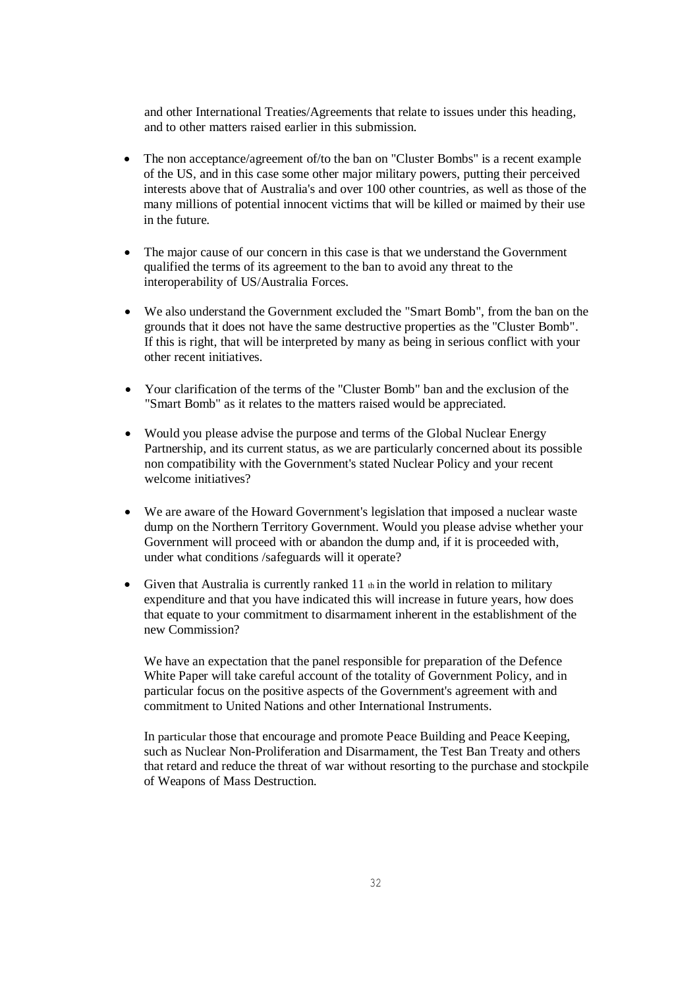and other International Treaties/Agreements that relate to issues under this heading, and to other matters raised earlier in this submission.

- The non acceptance/agreement of/to the ban on "Cluster Bombs" is a recent example of the US, and in this case some other major military powers, putting their perceived interests above that of Australia's and over 100 other countries, as well as those of the many millions of potential innocent victims that will be killed or maimed by their use in the future.
- The major cause of our concern in this case is that we understand the Government qualified the terms of its agreement to the ban to avoid any threat to the interoperability of US/Australia Forces.
- We also understand the Government excluded the "Smart Bomb", from the ban on the grounds that it does not have the same destructive properties as the "Cluster Bomb". If this is right, that will be interpreted by many as being in serious conflict with your other recent initiatives.
- Your clarification of the terms of the "Cluster Bomb" ban and the exclusion of the "Smart Bomb" as it relates to the matters raised would be appreciated.
- Would you please advise the purpose and terms of the Global Nuclear Energy Partnership, and its current status, as we are particularly concerned about its possible non compatibility with the Government's stated Nuclear Policy and your recent welcome initiatives?
- We are aware of the Howard Government's legislation that imposed a nuclear waste dump on the Northern Territory Government. Would you please advise whether your Government will proceed with or abandon the dump and, if it is proceeded with, under what conditions /safeguards will it operate?
- Given that Australia is currently ranked  $11$  th in the world in relation to military expenditure and that you have indicated this will increase in future years, how does that equate to your commitment to disarmament inherent in the establishment of the new Commission?

We have an expectation that the panel responsible for preparation of the Defence White Paper will take careful account of the totality of Government Policy, and in particular focus on the positive aspects of the Government's agreement with and commitment to United Nations and other International Instruments.

In particular those that encourage and promote Peace Building and Peace Keeping, such as Nuclear Non-Proliferation and Disarmament, the Test Ban Treaty and others that retard and reduce the threat of war without resorting to the purchase and stockpile of Weapons of Mass Destruction.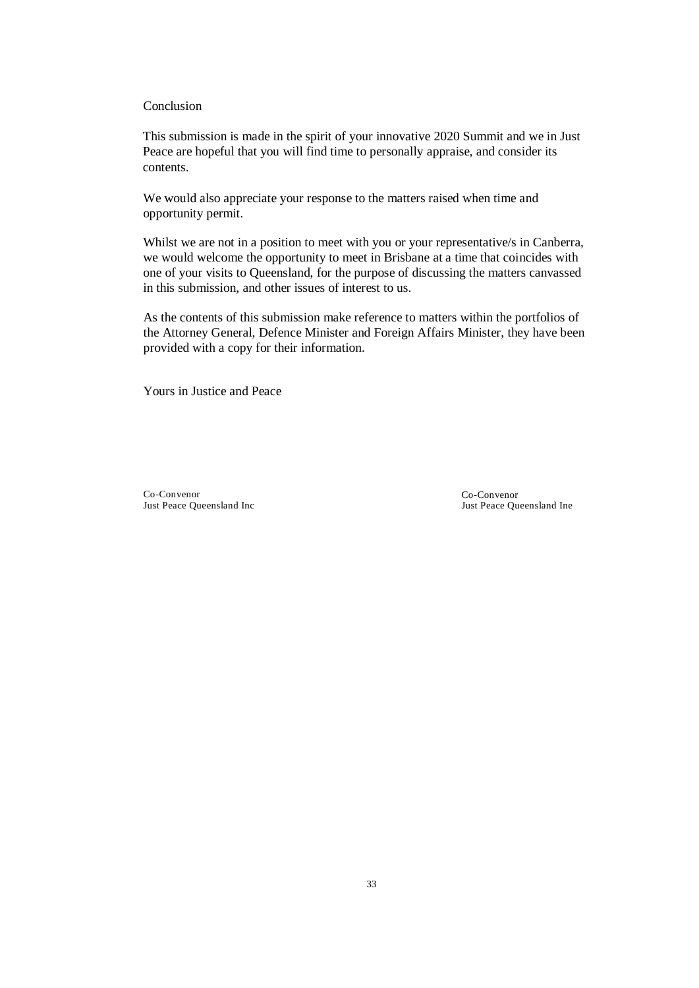## Conclusion

This submission is made in the spirit of your innovative 2020 Summit and we in Just Peace are hopeful that you will find time to personally appraise, and consider its contents.

We would also appreciate your response to the matters raised when time and opportunity permit.

Whilst we are not in a position to meet with you or your representative/s in Canberra, we would welcome the opportunity to meet in Brisbane at a time that coincides with one of your visits to Queensland, for the purpose of discussing the matters canvassed in this submission, and other issues of interest to us.

As the contents of this submission make reference to matters within the portfolios of the Attorney General, Defence Minister and Foreign Affairs Minister, they have been provided with a copy for their information.

Yours in Justice and Peace

Co-Convenor Just Peace Queensland Inc Co-Convenor Just Peace Queensland Ine